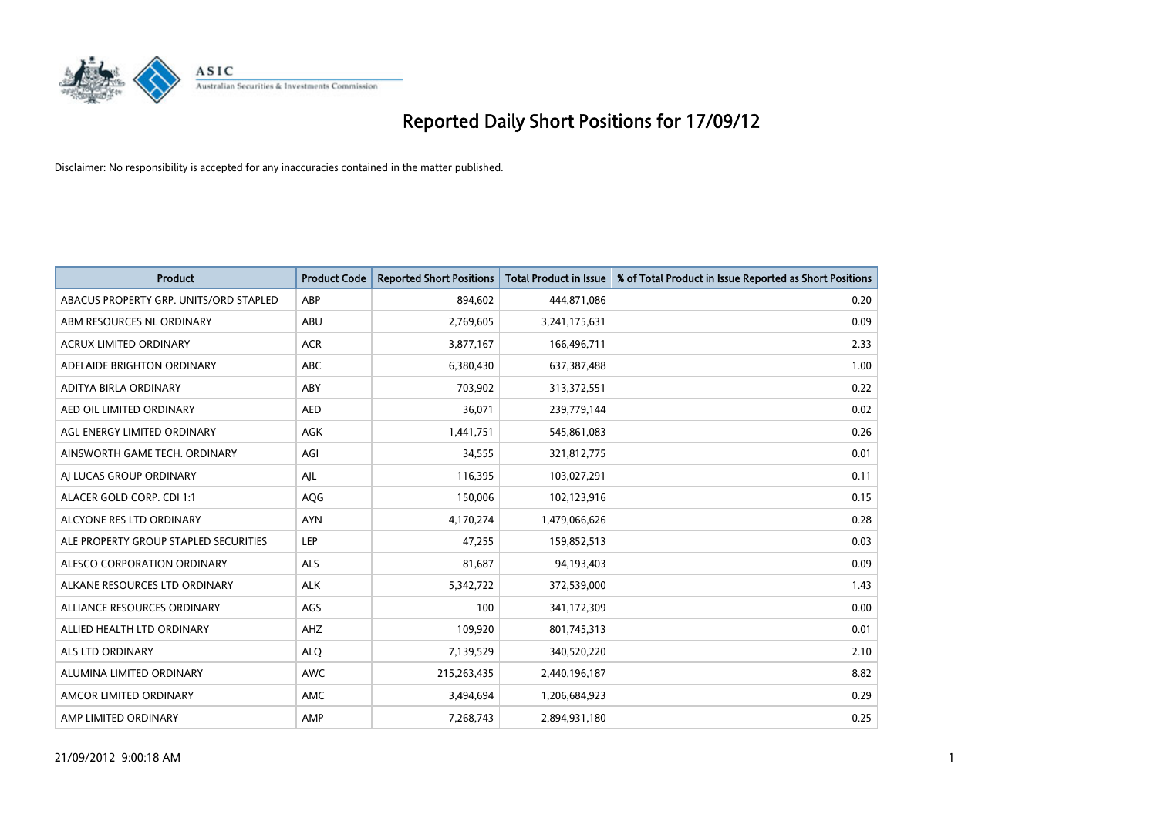

| <b>Product</b>                         | <b>Product Code</b> | <b>Reported Short Positions</b> | <b>Total Product in Issue</b> | % of Total Product in Issue Reported as Short Positions |
|----------------------------------------|---------------------|---------------------------------|-------------------------------|---------------------------------------------------------|
| ABACUS PROPERTY GRP. UNITS/ORD STAPLED | ABP                 | 894,602                         | 444,871,086                   | 0.20                                                    |
| ABM RESOURCES NL ORDINARY              | ABU                 | 2,769,605                       | 3,241,175,631                 | 0.09                                                    |
| <b>ACRUX LIMITED ORDINARY</b>          | <b>ACR</b>          | 3,877,167                       | 166,496,711                   | 2.33                                                    |
| ADELAIDE BRIGHTON ORDINARY             | ABC                 | 6,380,430                       | 637, 387, 488                 | 1.00                                                    |
| ADITYA BIRLA ORDINARY                  | ABY                 | 703,902                         | 313,372,551                   | 0.22                                                    |
| AED OIL LIMITED ORDINARY               | <b>AED</b>          | 36,071                          | 239,779,144                   | 0.02                                                    |
| AGL ENERGY LIMITED ORDINARY            | <b>AGK</b>          | 1,441,751                       | 545,861,083                   | 0.26                                                    |
| AINSWORTH GAME TECH. ORDINARY          | AGI                 | 34,555                          | 321,812,775                   | 0.01                                                    |
| AI LUCAS GROUP ORDINARY                | AJL                 | 116,395                         | 103,027,291                   | 0.11                                                    |
| ALACER GOLD CORP. CDI 1:1              | AQG                 | 150,006                         | 102,123,916                   | 0.15                                                    |
| ALCYONE RES LTD ORDINARY               | <b>AYN</b>          | 4,170,274                       | 1,479,066,626                 | 0.28                                                    |
| ALE PROPERTY GROUP STAPLED SECURITIES  | LEP                 | 47,255                          | 159,852,513                   | 0.03                                                    |
| ALESCO CORPORATION ORDINARY            | <b>ALS</b>          | 81,687                          | 94,193,403                    | 0.09                                                    |
| ALKANE RESOURCES LTD ORDINARY          | <b>ALK</b>          | 5,342,722                       | 372,539,000                   | 1.43                                                    |
| ALLIANCE RESOURCES ORDINARY            | AGS                 | 100                             | 341,172,309                   | 0.00                                                    |
| ALLIED HEALTH LTD ORDINARY             | AHZ                 | 109,920                         | 801,745,313                   | 0.01                                                    |
| ALS LTD ORDINARY                       | <b>ALO</b>          | 7,139,529                       | 340,520,220                   | 2.10                                                    |
| ALUMINA LIMITED ORDINARY               | <b>AWC</b>          | 215,263,435                     | 2,440,196,187                 | 8.82                                                    |
| AMCOR LIMITED ORDINARY                 | <b>AMC</b>          | 3,494,694                       | 1,206,684,923                 | 0.29                                                    |
| AMP LIMITED ORDINARY                   | AMP                 | 7,268,743                       | 2,894,931,180                 | 0.25                                                    |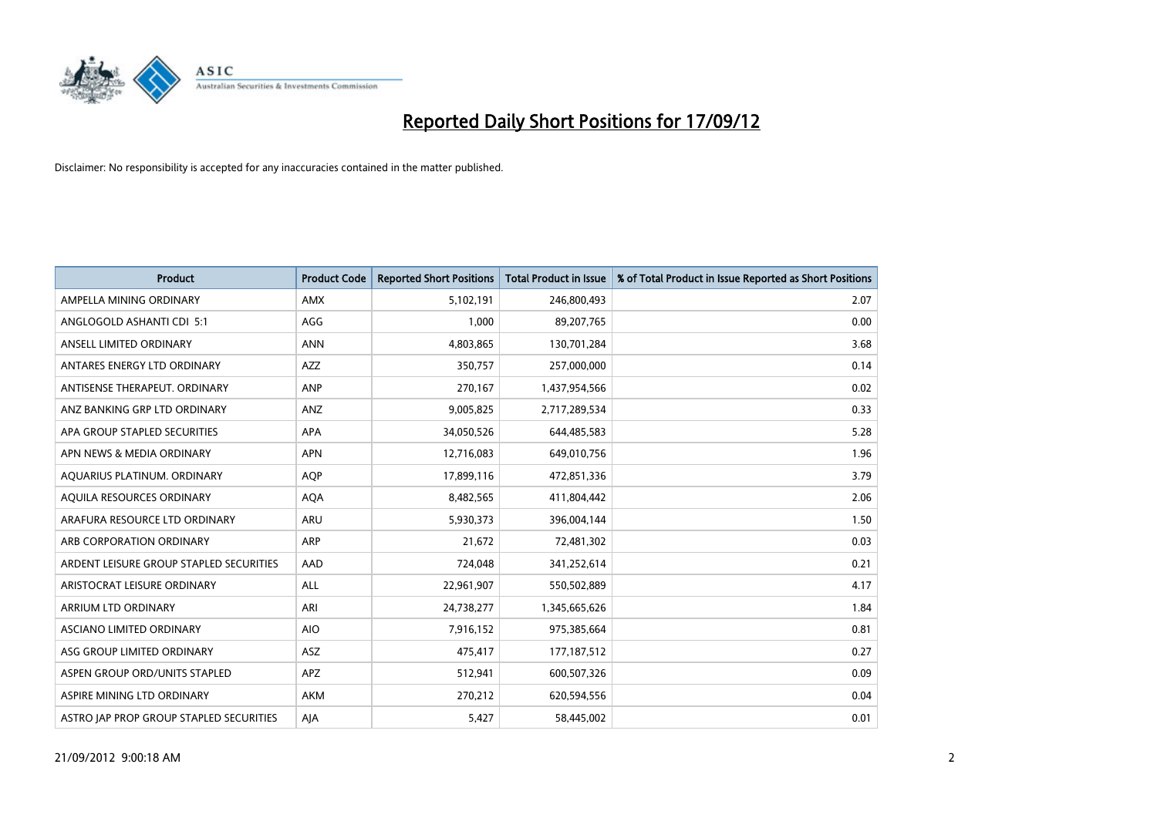

| <b>Product</b>                          | <b>Product Code</b> | <b>Reported Short Positions</b> | <b>Total Product in Issue</b> | % of Total Product in Issue Reported as Short Positions |
|-----------------------------------------|---------------------|---------------------------------|-------------------------------|---------------------------------------------------------|
| AMPELLA MINING ORDINARY                 | <b>AMX</b>          | 5,102,191                       | 246,800,493                   | 2.07                                                    |
| ANGLOGOLD ASHANTI CDI 5:1               | AGG                 | 1,000                           | 89,207,765                    | 0.00                                                    |
| ANSELL LIMITED ORDINARY                 | <b>ANN</b>          | 4,803,865                       | 130,701,284                   | 3.68                                                    |
| ANTARES ENERGY LTD ORDINARY             | <b>AZZ</b>          | 350,757                         | 257,000,000                   | 0.14                                                    |
| ANTISENSE THERAPEUT, ORDINARY           | <b>ANP</b>          | 270,167                         | 1,437,954,566                 | 0.02                                                    |
| ANZ BANKING GRP LTD ORDINARY            | ANZ                 | 9,005,825                       | 2,717,289,534                 | 0.33                                                    |
| APA GROUP STAPLED SECURITIES            | <b>APA</b>          | 34,050,526                      | 644,485,583                   | 5.28                                                    |
| APN NEWS & MEDIA ORDINARY               | <b>APN</b>          | 12,716,083                      | 649,010,756                   | 1.96                                                    |
| AQUARIUS PLATINUM. ORDINARY             | <b>AOP</b>          | 17,899,116                      | 472,851,336                   | 3.79                                                    |
| AQUILA RESOURCES ORDINARY               | <b>AQA</b>          | 8,482,565                       | 411,804,442                   | 2.06                                                    |
| ARAFURA RESOURCE LTD ORDINARY           | ARU                 | 5,930,373                       | 396,004,144                   | 1.50                                                    |
| ARB CORPORATION ORDINARY                | <b>ARP</b>          | 21,672                          | 72,481,302                    | 0.03                                                    |
| ARDENT LEISURE GROUP STAPLED SECURITIES | AAD                 | 724,048                         | 341,252,614                   | 0.21                                                    |
| ARISTOCRAT LEISURE ORDINARY             | ALL                 | 22,961,907                      | 550,502,889                   | 4.17                                                    |
| <b>ARRIUM LTD ORDINARY</b>              | ARI                 | 24,738,277                      | 1,345,665,626                 | 1.84                                                    |
| ASCIANO LIMITED ORDINARY                | <b>AIO</b>          | 7,916,152                       | 975,385,664                   | 0.81                                                    |
| ASG GROUP LIMITED ORDINARY              | ASZ                 | 475,417                         | 177, 187, 512                 | 0.27                                                    |
| ASPEN GROUP ORD/UNITS STAPLED           | <b>APZ</b>          | 512,941                         | 600,507,326                   | 0.09                                                    |
| ASPIRE MINING LTD ORDINARY              | <b>AKM</b>          | 270,212                         | 620,594,556                   | 0.04                                                    |
| ASTRO JAP PROP GROUP STAPLED SECURITIES | AJA                 | 5,427                           | 58,445,002                    | 0.01                                                    |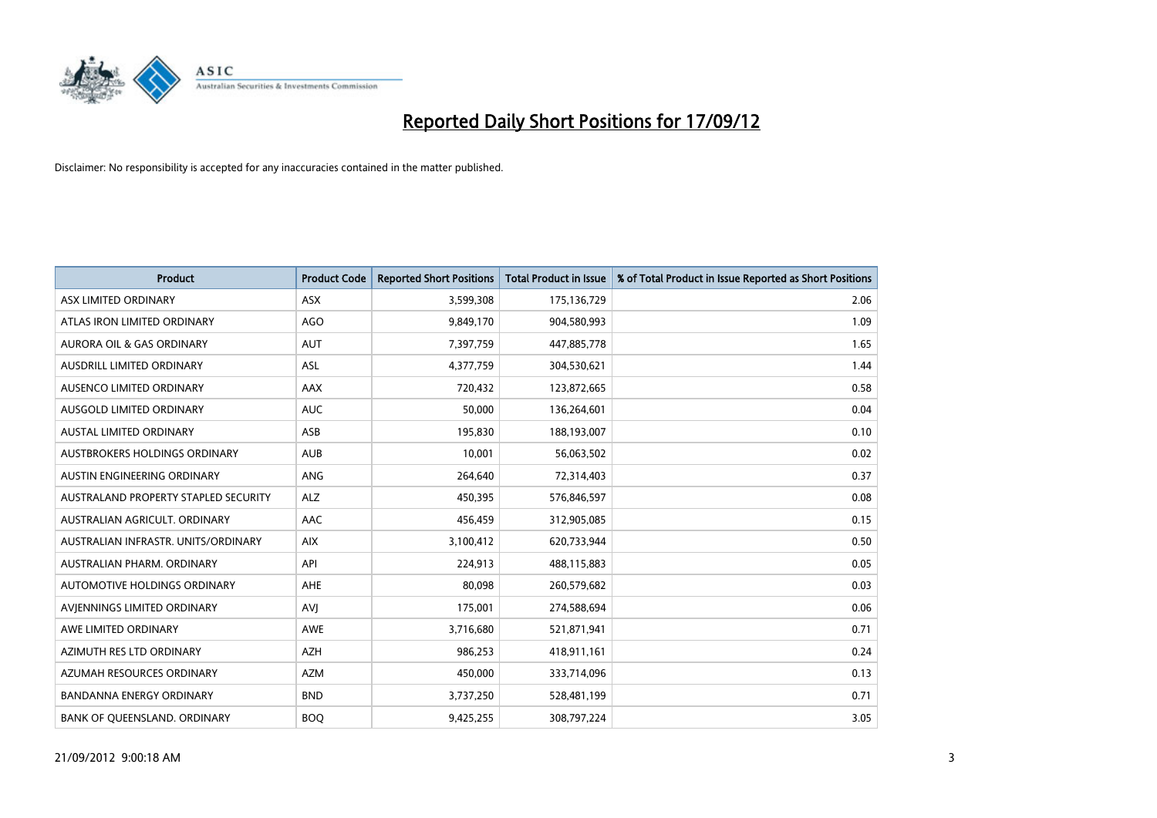

| <b>Product</b>                       | <b>Product Code</b> | <b>Reported Short Positions</b> | <b>Total Product in Issue</b> | % of Total Product in Issue Reported as Short Positions |
|--------------------------------------|---------------------|---------------------------------|-------------------------------|---------------------------------------------------------|
| ASX LIMITED ORDINARY                 | <b>ASX</b>          | 3,599,308                       | 175,136,729                   | 2.06                                                    |
| ATLAS IRON LIMITED ORDINARY          | <b>AGO</b>          | 9,849,170                       | 904,580,993                   | 1.09                                                    |
| <b>AURORA OIL &amp; GAS ORDINARY</b> | <b>AUT</b>          | 7,397,759                       | 447,885,778                   | 1.65                                                    |
| AUSDRILL LIMITED ORDINARY            | ASL                 | 4,377,759                       | 304,530,621                   | 1.44                                                    |
| AUSENCO LIMITED ORDINARY             | <b>AAX</b>          | 720,432                         | 123,872,665                   | 0.58                                                    |
| AUSGOLD LIMITED ORDINARY             | <b>AUC</b>          | 50,000                          | 136,264,601                   | 0.04                                                    |
| AUSTAL LIMITED ORDINARY              | ASB                 | 195,830                         | 188,193,007                   | 0.10                                                    |
| AUSTBROKERS HOLDINGS ORDINARY        | <b>AUB</b>          | 10,001                          | 56,063,502                    | 0.02                                                    |
| AUSTIN ENGINEERING ORDINARY          | <b>ANG</b>          | 264,640                         | 72,314,403                    | 0.37                                                    |
| AUSTRALAND PROPERTY STAPLED SECURITY | <b>ALZ</b>          | 450,395                         | 576,846,597                   | 0.08                                                    |
| AUSTRALIAN AGRICULT. ORDINARY        | AAC                 | 456,459                         | 312,905,085                   | 0.15                                                    |
| AUSTRALIAN INFRASTR, UNITS/ORDINARY  | <b>AIX</b>          | 3,100,412                       | 620,733,944                   | 0.50                                                    |
| AUSTRALIAN PHARM. ORDINARY           | API                 | 224,913                         | 488,115,883                   | 0.05                                                    |
| AUTOMOTIVE HOLDINGS ORDINARY         | AHE                 | 80,098                          | 260,579,682                   | 0.03                                                    |
| AVIENNINGS LIMITED ORDINARY          | AVI                 | 175,001                         | 274,588,694                   | 0.06                                                    |
| AWE LIMITED ORDINARY                 | <b>AWE</b>          | 3,716,680                       | 521,871,941                   | 0.71                                                    |
| AZIMUTH RES LTD ORDINARY             | <b>AZH</b>          | 986,253                         | 418,911,161                   | 0.24                                                    |
| AZUMAH RESOURCES ORDINARY            | <b>AZM</b>          | 450,000                         | 333,714,096                   | 0.13                                                    |
| BANDANNA ENERGY ORDINARY             | <b>BND</b>          | 3,737,250                       | 528,481,199                   | 0.71                                                    |
| BANK OF QUEENSLAND. ORDINARY         | <b>BOQ</b>          | 9,425,255                       | 308,797,224                   | 3.05                                                    |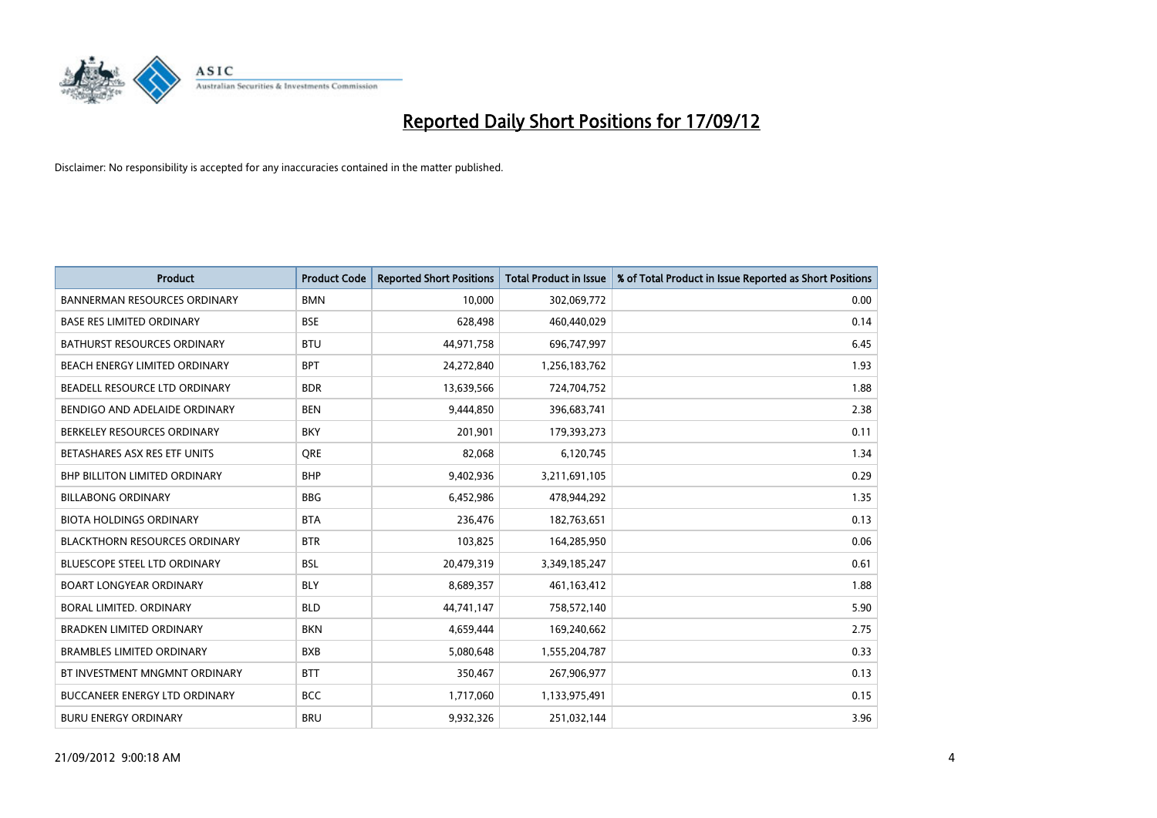

| <b>Product</b>                       | <b>Product Code</b> | <b>Reported Short Positions</b> | Total Product in Issue | % of Total Product in Issue Reported as Short Positions |
|--------------------------------------|---------------------|---------------------------------|------------------------|---------------------------------------------------------|
| <b>BANNERMAN RESOURCES ORDINARY</b>  | <b>BMN</b>          | 10.000                          | 302,069,772            | 0.00                                                    |
| <b>BASE RES LIMITED ORDINARY</b>     | <b>BSE</b>          | 628,498                         | 460,440,029            | 0.14                                                    |
| <b>BATHURST RESOURCES ORDINARY</b>   | <b>BTU</b>          | 44,971,758                      | 696,747,997            | 6.45                                                    |
| BEACH ENERGY LIMITED ORDINARY        | <b>BPT</b>          | 24,272,840                      | 1,256,183,762          | 1.93                                                    |
| BEADELL RESOURCE LTD ORDINARY        | <b>BDR</b>          | 13,639,566                      | 724,704,752            | 1.88                                                    |
| BENDIGO AND ADELAIDE ORDINARY        | <b>BEN</b>          | 9,444,850                       | 396,683,741            | 2.38                                                    |
| BERKELEY RESOURCES ORDINARY          | <b>BKY</b>          | 201.901                         | 179,393,273            | 0.11                                                    |
| BETASHARES ASX RES ETF UNITS         | <b>ORE</b>          | 82,068                          | 6,120,745              | 1.34                                                    |
| <b>BHP BILLITON LIMITED ORDINARY</b> | <b>BHP</b>          | 9,402,936                       | 3,211,691,105          | 0.29                                                    |
| <b>BILLABONG ORDINARY</b>            | <b>BBG</b>          | 6,452,986                       | 478,944,292            | 1.35                                                    |
| <b>BIOTA HOLDINGS ORDINARY</b>       | <b>BTA</b>          | 236,476                         | 182,763,651            | 0.13                                                    |
| <b>BLACKTHORN RESOURCES ORDINARY</b> | <b>BTR</b>          | 103,825                         | 164,285,950            | 0.06                                                    |
| <b>BLUESCOPE STEEL LTD ORDINARY</b>  | <b>BSL</b>          | 20,479,319                      | 3,349,185,247          | 0.61                                                    |
| <b>BOART LONGYEAR ORDINARY</b>       | <b>BLY</b>          | 8,689,357                       | 461,163,412            | 1.88                                                    |
| <b>BORAL LIMITED, ORDINARY</b>       | <b>BLD</b>          | 44,741,147                      | 758,572,140            | 5.90                                                    |
| <b>BRADKEN LIMITED ORDINARY</b>      | <b>BKN</b>          | 4,659,444                       | 169,240,662            | 2.75                                                    |
| <b>BRAMBLES LIMITED ORDINARY</b>     | <b>BXB</b>          | 5,080,648                       | 1,555,204,787          | 0.33                                                    |
| BT INVESTMENT MNGMNT ORDINARY        | <b>BTT</b>          | 350,467                         | 267,906,977            | 0.13                                                    |
| <b>BUCCANEER ENERGY LTD ORDINARY</b> | <b>BCC</b>          | 1,717,060                       | 1,133,975,491          | 0.15                                                    |
| <b>BURU ENERGY ORDINARY</b>          | <b>BRU</b>          | 9.932.326                       | 251,032,144            | 3.96                                                    |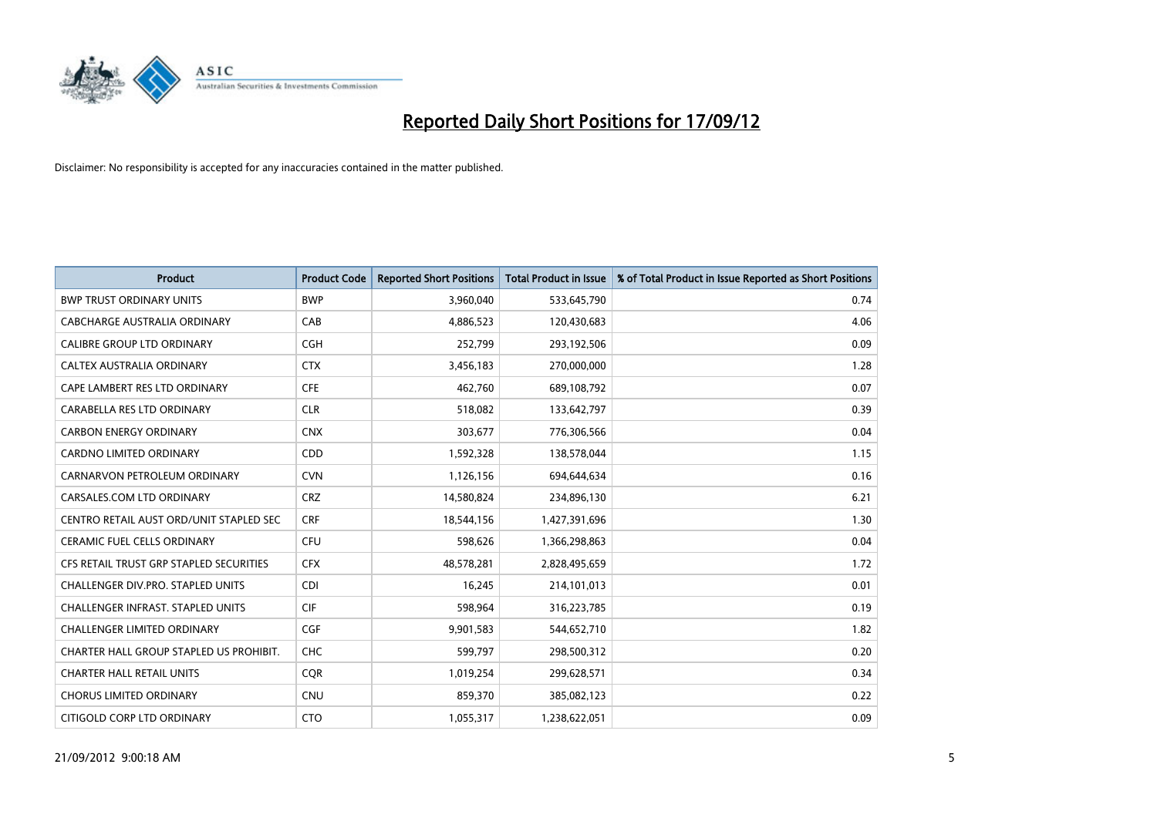

| <b>Product</b>                           | <b>Product Code</b> | <b>Reported Short Positions</b> | <b>Total Product in Issue</b> | % of Total Product in Issue Reported as Short Positions |
|------------------------------------------|---------------------|---------------------------------|-------------------------------|---------------------------------------------------------|
| <b>BWP TRUST ORDINARY UNITS</b>          | <b>BWP</b>          | 3,960,040                       | 533,645,790                   | 0.74                                                    |
| CABCHARGE AUSTRALIA ORDINARY             | CAB                 | 4,886,523                       | 120,430,683                   | 4.06                                                    |
| <b>CALIBRE GROUP LTD ORDINARY</b>        | <b>CGH</b>          | 252,799                         | 293,192,506                   | 0.09                                                    |
| CALTEX AUSTRALIA ORDINARY                | <b>CTX</b>          | 3,456,183                       | 270,000,000                   | 1.28                                                    |
| CAPE LAMBERT RES LTD ORDINARY            | <b>CFE</b>          | 462,760                         | 689,108,792                   | 0.07                                                    |
| CARABELLA RES LTD ORDINARY               | <b>CLR</b>          | 518,082                         | 133,642,797                   | 0.39                                                    |
| <b>CARBON ENERGY ORDINARY</b>            | <b>CNX</b>          | 303.677                         | 776,306,566                   | 0.04                                                    |
| CARDNO LIMITED ORDINARY                  | CDD                 | 1,592,328                       | 138,578,044                   | 1.15                                                    |
| CARNARVON PETROLEUM ORDINARY             | <b>CVN</b>          | 1,126,156                       | 694,644,634                   | 0.16                                                    |
| CARSALES.COM LTD ORDINARY                | <b>CRZ</b>          | 14,580,824                      | 234,896,130                   | 6.21                                                    |
| CENTRO RETAIL AUST ORD/UNIT STAPLED SEC  | <b>CRF</b>          | 18,544,156                      | 1,427,391,696                 | 1.30                                                    |
| CERAMIC FUEL CELLS ORDINARY              | <b>CFU</b>          | 598,626                         | 1,366,298,863                 | 0.04                                                    |
| CFS RETAIL TRUST GRP STAPLED SECURITIES  | <b>CFX</b>          | 48,578,281                      | 2,828,495,659                 | 1.72                                                    |
| CHALLENGER DIV.PRO. STAPLED UNITS        | <b>CDI</b>          | 16,245                          | 214,101,013                   | 0.01                                                    |
| <b>CHALLENGER INFRAST, STAPLED UNITS</b> | <b>CIF</b>          | 598,964                         | 316,223,785                   | 0.19                                                    |
| CHALLENGER LIMITED ORDINARY              | <b>CGF</b>          | 9,901,583                       | 544,652,710                   | 1.82                                                    |
| CHARTER HALL GROUP STAPLED US PROHIBIT.  | <b>CHC</b>          | 599,797                         | 298,500,312                   | 0.20                                                    |
| <b>CHARTER HALL RETAIL UNITS</b>         | <b>CQR</b>          | 1,019,254                       | 299,628,571                   | 0.34                                                    |
| <b>CHORUS LIMITED ORDINARY</b>           | <b>CNU</b>          | 859,370                         | 385,082,123                   | 0.22                                                    |
| CITIGOLD CORP LTD ORDINARY               | <b>CTO</b>          | 1,055,317                       | 1,238,622,051                 | 0.09                                                    |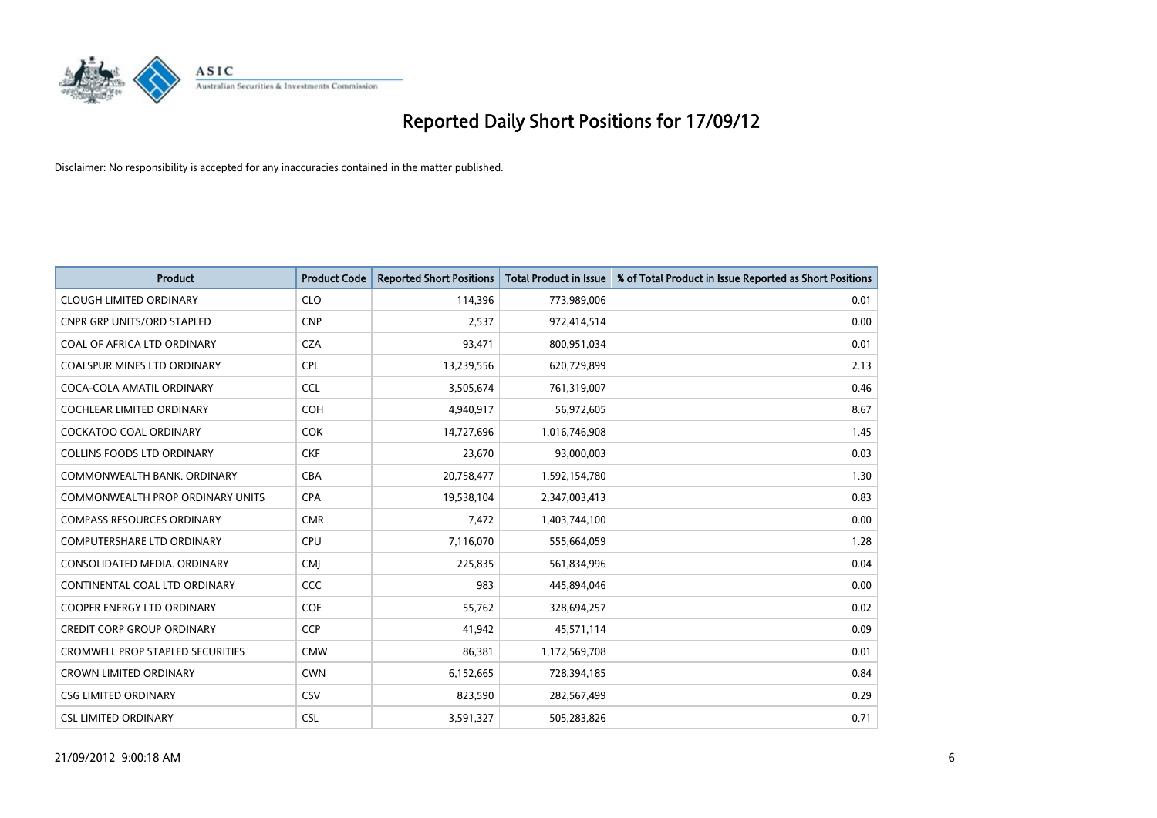

| <b>Product</b>                          | <b>Product Code</b> | <b>Reported Short Positions</b> | Total Product in Issue | % of Total Product in Issue Reported as Short Positions |
|-----------------------------------------|---------------------|---------------------------------|------------------------|---------------------------------------------------------|
| <b>CLOUGH LIMITED ORDINARY</b>          | <b>CLO</b>          | 114,396                         | 773,989,006            | 0.01                                                    |
| CNPR GRP UNITS/ORD STAPLED              | <b>CNP</b>          | 2,537                           | 972,414,514            | 0.00                                                    |
| COAL OF AFRICA LTD ORDINARY             | <b>CZA</b>          | 93,471                          | 800,951,034            | 0.01                                                    |
| COALSPUR MINES LTD ORDINARY             | <b>CPL</b>          | 13,239,556                      | 620,729,899            | 2.13                                                    |
| COCA-COLA AMATIL ORDINARY               | <b>CCL</b>          | 3,505,674                       | 761,319,007            | 0.46                                                    |
| <b>COCHLEAR LIMITED ORDINARY</b>        | <b>COH</b>          | 4,940,917                       | 56,972,605             | 8.67                                                    |
| <b>COCKATOO COAL ORDINARY</b>           | <b>COK</b>          | 14,727,696                      | 1,016,746,908          | 1.45                                                    |
| <b>COLLINS FOODS LTD ORDINARY</b>       | <b>CKF</b>          | 23,670                          | 93,000,003             | 0.03                                                    |
| COMMONWEALTH BANK, ORDINARY             | <b>CBA</b>          | 20,758,477                      | 1,592,154,780          | 1.30                                                    |
| <b>COMMONWEALTH PROP ORDINARY UNITS</b> | <b>CPA</b>          | 19,538,104                      | 2,347,003,413          | 0.83                                                    |
| <b>COMPASS RESOURCES ORDINARY</b>       | <b>CMR</b>          | 7,472                           | 1,403,744,100          | 0.00                                                    |
| <b>COMPUTERSHARE LTD ORDINARY</b>       | <b>CPU</b>          | 7,116,070                       | 555,664,059            | 1.28                                                    |
| CONSOLIDATED MEDIA, ORDINARY            | <b>CMJ</b>          | 225,835                         | 561,834,996            | 0.04                                                    |
| CONTINENTAL COAL LTD ORDINARY           | CCC                 | 983                             | 445,894,046            | 0.00                                                    |
| <b>COOPER ENERGY LTD ORDINARY</b>       | COE                 | 55,762                          | 328,694,257            | 0.02                                                    |
| CREDIT CORP GROUP ORDINARY              | <b>CCP</b>          | 41,942                          | 45,571,114             | 0.09                                                    |
| <b>CROMWELL PROP STAPLED SECURITIES</b> | <b>CMW</b>          | 86,381                          | 1,172,569,708          | 0.01                                                    |
| <b>CROWN LIMITED ORDINARY</b>           | <b>CWN</b>          | 6,152,665                       | 728,394,185            | 0.84                                                    |
| <b>CSG LIMITED ORDINARY</b>             | CSV                 | 823,590                         | 282,567,499            | 0.29                                                    |
| <b>CSL LIMITED ORDINARY</b>             | <b>CSL</b>          | 3,591,327                       | 505,283,826            | 0.71                                                    |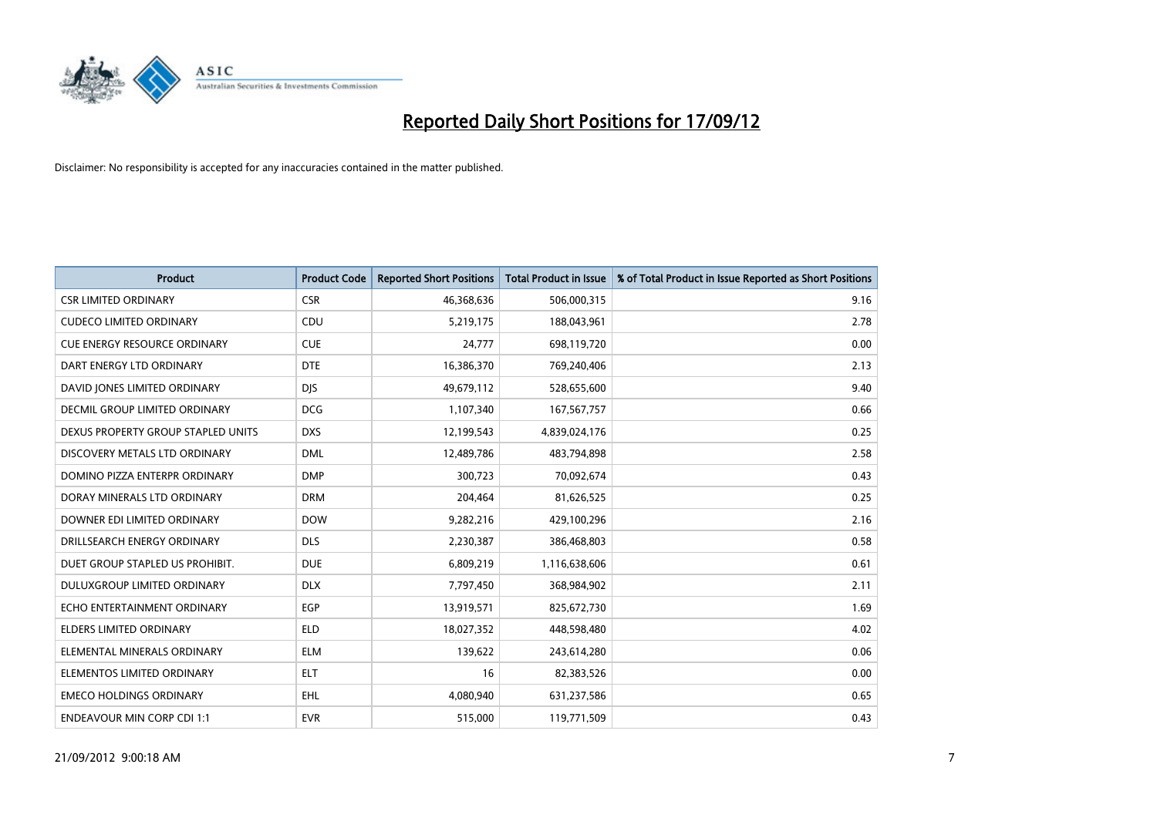

| <b>Product</b>                      | <b>Product Code</b> | <b>Reported Short Positions</b> | <b>Total Product in Issue</b> | % of Total Product in Issue Reported as Short Positions |
|-------------------------------------|---------------------|---------------------------------|-------------------------------|---------------------------------------------------------|
| <b>CSR LIMITED ORDINARY</b>         | <b>CSR</b>          | 46,368,636                      | 506,000,315                   | 9.16                                                    |
| <b>CUDECO LIMITED ORDINARY</b>      | CDU                 | 5,219,175                       | 188,043,961                   | 2.78                                                    |
| <b>CUE ENERGY RESOURCE ORDINARY</b> | <b>CUE</b>          | 24,777                          | 698,119,720                   | 0.00                                                    |
| DART ENERGY LTD ORDINARY            | <b>DTE</b>          | 16,386,370                      | 769,240,406                   | 2.13                                                    |
| DAVID JONES LIMITED ORDINARY        | <b>DIS</b>          | 49,679,112                      | 528,655,600                   | 9.40                                                    |
| DECMIL GROUP LIMITED ORDINARY       | <b>DCG</b>          | 1,107,340                       | 167,567,757                   | 0.66                                                    |
| DEXUS PROPERTY GROUP STAPLED UNITS  | <b>DXS</b>          | 12,199,543                      | 4,839,024,176                 | 0.25                                                    |
| DISCOVERY METALS LTD ORDINARY       | <b>DML</b>          | 12,489,786                      | 483,794,898                   | 2.58                                                    |
| DOMINO PIZZA ENTERPR ORDINARY       | <b>DMP</b>          | 300,723                         | 70,092,674                    | 0.43                                                    |
| DORAY MINERALS LTD ORDINARY         | <b>DRM</b>          | 204,464                         | 81,626,525                    | 0.25                                                    |
| DOWNER EDI LIMITED ORDINARY         | <b>DOW</b>          | 9,282,216                       | 429,100,296                   | 2.16                                                    |
| DRILLSEARCH ENERGY ORDINARY         | <b>DLS</b>          | 2,230,387                       | 386,468,803                   | 0.58                                                    |
| DUET GROUP STAPLED US PROHIBIT.     | <b>DUE</b>          | 6,809,219                       | 1,116,638,606                 | 0.61                                                    |
| DULUXGROUP LIMITED ORDINARY         | <b>DLX</b>          | 7,797,450                       | 368,984,902                   | 2.11                                                    |
| ECHO ENTERTAINMENT ORDINARY         | EGP                 | 13,919,571                      | 825,672,730                   | 1.69                                                    |
| ELDERS LIMITED ORDINARY             | <b>ELD</b>          | 18,027,352                      | 448,598,480                   | 4.02                                                    |
| ELEMENTAL MINERALS ORDINARY         | <b>ELM</b>          | 139,622                         | 243,614,280                   | 0.06                                                    |
| ELEMENTOS LIMITED ORDINARY          | <b>ELT</b>          | 16                              | 82,383,526                    | 0.00                                                    |
| <b>EMECO HOLDINGS ORDINARY</b>      | <b>EHL</b>          | 4,080,940                       | 631,237,586                   | 0.65                                                    |
| <b>ENDEAVOUR MIN CORP CDI 1:1</b>   | <b>EVR</b>          | 515,000                         | 119,771,509                   | 0.43                                                    |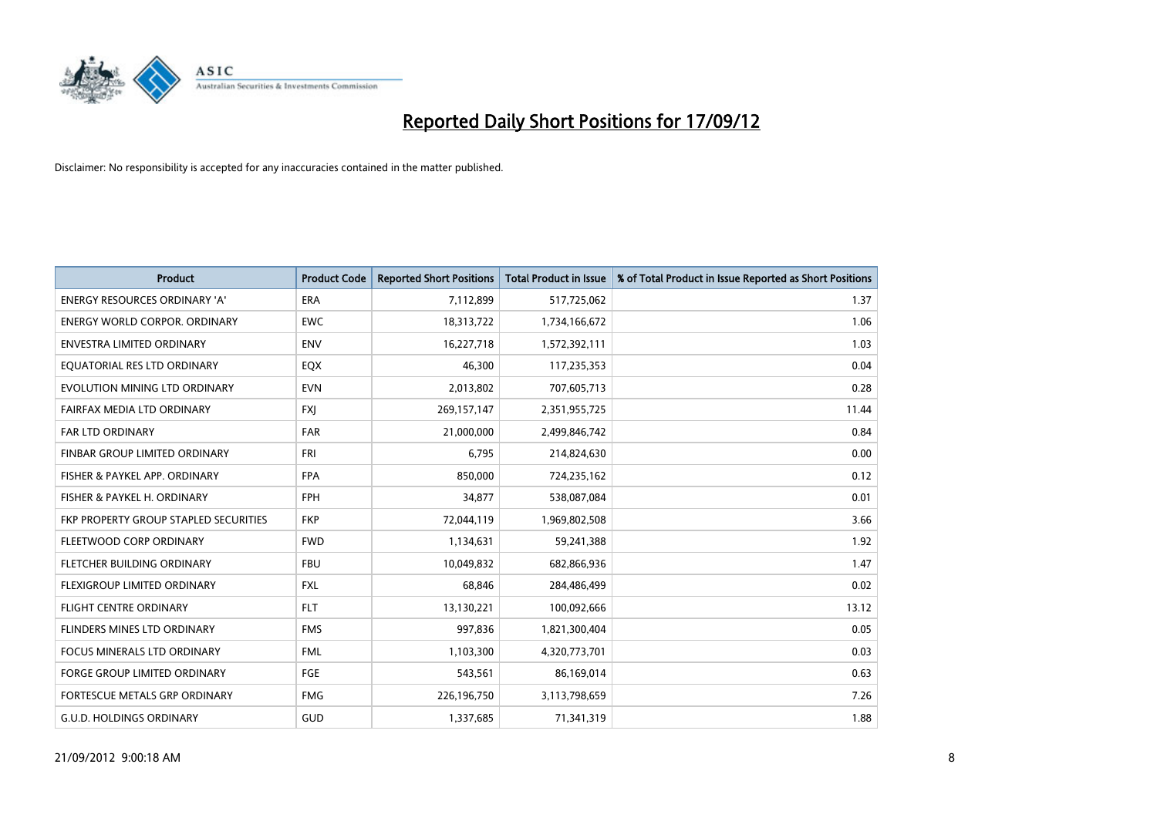

| <b>Product</b>                        | <b>Product Code</b> | <b>Reported Short Positions</b> | <b>Total Product in Issue</b> | % of Total Product in Issue Reported as Short Positions |
|---------------------------------------|---------------------|---------------------------------|-------------------------------|---------------------------------------------------------|
| <b>ENERGY RESOURCES ORDINARY 'A'</b>  | <b>ERA</b>          | 7,112,899                       | 517,725,062                   | 1.37                                                    |
| <b>ENERGY WORLD CORPOR. ORDINARY</b>  | <b>EWC</b>          | 18,313,722                      | 1,734,166,672                 | 1.06                                                    |
| <b>ENVESTRA LIMITED ORDINARY</b>      | <b>ENV</b>          | 16,227,718                      | 1,572,392,111                 | 1.03                                                    |
| EQUATORIAL RES LTD ORDINARY           | EQX                 | 46,300                          | 117,235,353                   | 0.04                                                    |
| EVOLUTION MINING LTD ORDINARY         | <b>EVN</b>          | 2,013,802                       | 707,605,713                   | 0.28                                                    |
| FAIRFAX MEDIA LTD ORDINARY            | <b>FXI</b>          | 269,157,147                     | 2,351,955,725                 | 11.44                                                   |
| <b>FAR LTD ORDINARY</b>               | <b>FAR</b>          | 21,000,000                      | 2,499,846,742                 | 0.84                                                    |
| FINBAR GROUP LIMITED ORDINARY         | <b>FRI</b>          | 6,795                           | 214,824,630                   | 0.00                                                    |
| FISHER & PAYKEL APP. ORDINARY         | <b>FPA</b>          | 850,000                         | 724,235,162                   | 0.12                                                    |
| FISHER & PAYKEL H. ORDINARY           | <b>FPH</b>          | 34,877                          | 538,087,084                   | 0.01                                                    |
| FKP PROPERTY GROUP STAPLED SECURITIES | <b>FKP</b>          | 72,044,119                      | 1,969,802,508                 | 3.66                                                    |
| FLEETWOOD CORP ORDINARY               | <b>FWD</b>          | 1,134,631                       | 59,241,388                    | 1.92                                                    |
| <b>FLETCHER BUILDING ORDINARY</b>     | <b>FBU</b>          | 10,049,832                      | 682,866,936                   | 1.47                                                    |
| <b>FLEXIGROUP LIMITED ORDINARY</b>    | <b>FXL</b>          | 68,846                          | 284,486,499                   | 0.02                                                    |
| <b>FLIGHT CENTRE ORDINARY</b>         | <b>FLT</b>          | 13,130,221                      | 100,092,666                   | 13.12                                                   |
| FLINDERS MINES LTD ORDINARY           | <b>FMS</b>          | 997,836                         | 1,821,300,404                 | 0.05                                                    |
| <b>FOCUS MINERALS LTD ORDINARY</b>    | <b>FML</b>          | 1,103,300                       | 4,320,773,701                 | 0.03                                                    |
| FORGE GROUP LIMITED ORDINARY          | FGE                 | 543,561                         | 86,169,014                    | 0.63                                                    |
| FORTESCUE METALS GRP ORDINARY         | <b>FMG</b>          | 226,196,750                     | 3,113,798,659                 | 7.26                                                    |
| <b>G.U.D. HOLDINGS ORDINARY</b>       | GUD                 | 1,337,685                       | 71,341,319                    | 1.88                                                    |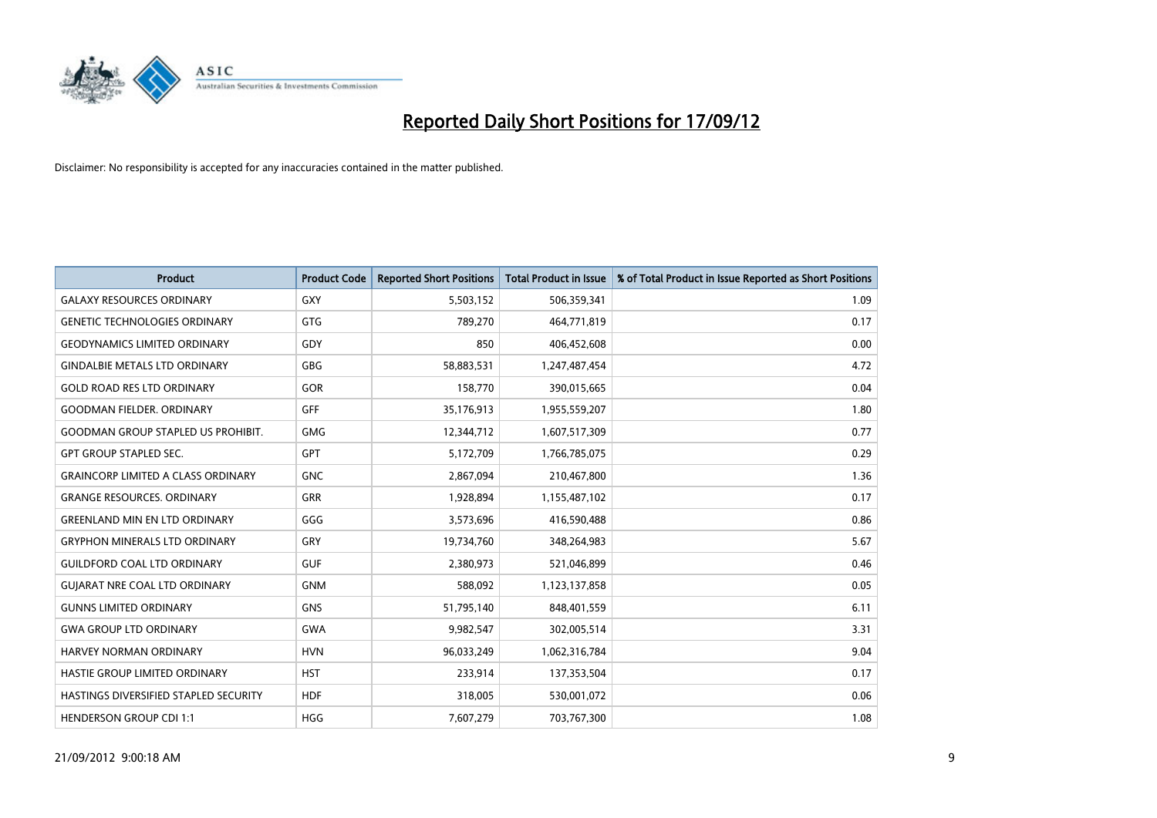

| <b>Product</b>                            | <b>Product Code</b> | <b>Reported Short Positions</b> | <b>Total Product in Issue</b> | % of Total Product in Issue Reported as Short Positions |
|-------------------------------------------|---------------------|---------------------------------|-------------------------------|---------------------------------------------------------|
| <b>GALAXY RESOURCES ORDINARY</b>          | <b>GXY</b>          | 5,503,152                       | 506,359,341                   | 1.09                                                    |
| <b>GENETIC TECHNOLOGIES ORDINARY</b>      | <b>GTG</b>          | 789,270                         | 464,771,819                   | 0.17                                                    |
| <b>GEODYNAMICS LIMITED ORDINARY</b>       | GDY                 | 850                             | 406,452,608                   | 0.00                                                    |
| <b>GINDALBIE METALS LTD ORDINARY</b>      | <b>GBG</b>          | 58,883,531                      | 1,247,487,454                 | 4.72                                                    |
| <b>GOLD ROAD RES LTD ORDINARY</b>         | GOR                 | 158,770                         | 390,015,665                   | 0.04                                                    |
| <b>GOODMAN FIELDER, ORDINARY</b>          | GFF                 | 35,176,913                      | 1,955,559,207                 | 1.80                                                    |
| <b>GOODMAN GROUP STAPLED US PROHIBIT.</b> | <b>GMG</b>          | 12,344,712                      | 1,607,517,309                 | 0.77                                                    |
| <b>GPT GROUP STAPLED SEC.</b>             | <b>GPT</b>          | 5,172,709                       | 1,766,785,075                 | 0.29                                                    |
| <b>GRAINCORP LIMITED A CLASS ORDINARY</b> | <b>GNC</b>          | 2,867,094                       | 210,467,800                   | 1.36                                                    |
| <b>GRANGE RESOURCES, ORDINARY</b>         | <b>GRR</b>          | 1,928,894                       | 1,155,487,102                 | 0.17                                                    |
| <b>GREENLAND MIN EN LTD ORDINARY</b>      | GGG                 | 3,573,696                       | 416,590,488                   | 0.86                                                    |
| <b>GRYPHON MINERALS LTD ORDINARY</b>      | GRY                 | 19,734,760                      | 348,264,983                   | 5.67                                                    |
| <b>GUILDFORD COAL LTD ORDINARY</b>        | <b>GUF</b>          | 2,380,973                       | 521,046,899                   | 0.46                                                    |
| <b>GUIARAT NRE COAL LTD ORDINARY</b>      | <b>GNM</b>          | 588,092                         | 1,123,137,858                 | 0.05                                                    |
| <b>GUNNS LIMITED ORDINARY</b>             | <b>GNS</b>          | 51,795,140                      | 848,401,559                   | 6.11                                                    |
| <b>GWA GROUP LTD ORDINARY</b>             | <b>GWA</b>          | 9,982,547                       | 302,005,514                   | 3.31                                                    |
| HARVEY NORMAN ORDINARY                    | <b>HVN</b>          | 96,033,249                      | 1,062,316,784                 | 9.04                                                    |
| HASTIE GROUP LIMITED ORDINARY             | <b>HST</b>          | 233,914                         | 137,353,504                   | 0.17                                                    |
| HASTINGS DIVERSIFIED STAPLED SECURITY     | <b>HDF</b>          | 318,005                         | 530,001,072                   | 0.06                                                    |
| <b>HENDERSON GROUP CDI 1:1</b>            | <b>HGG</b>          | 7,607,279                       | 703,767,300                   | 1.08                                                    |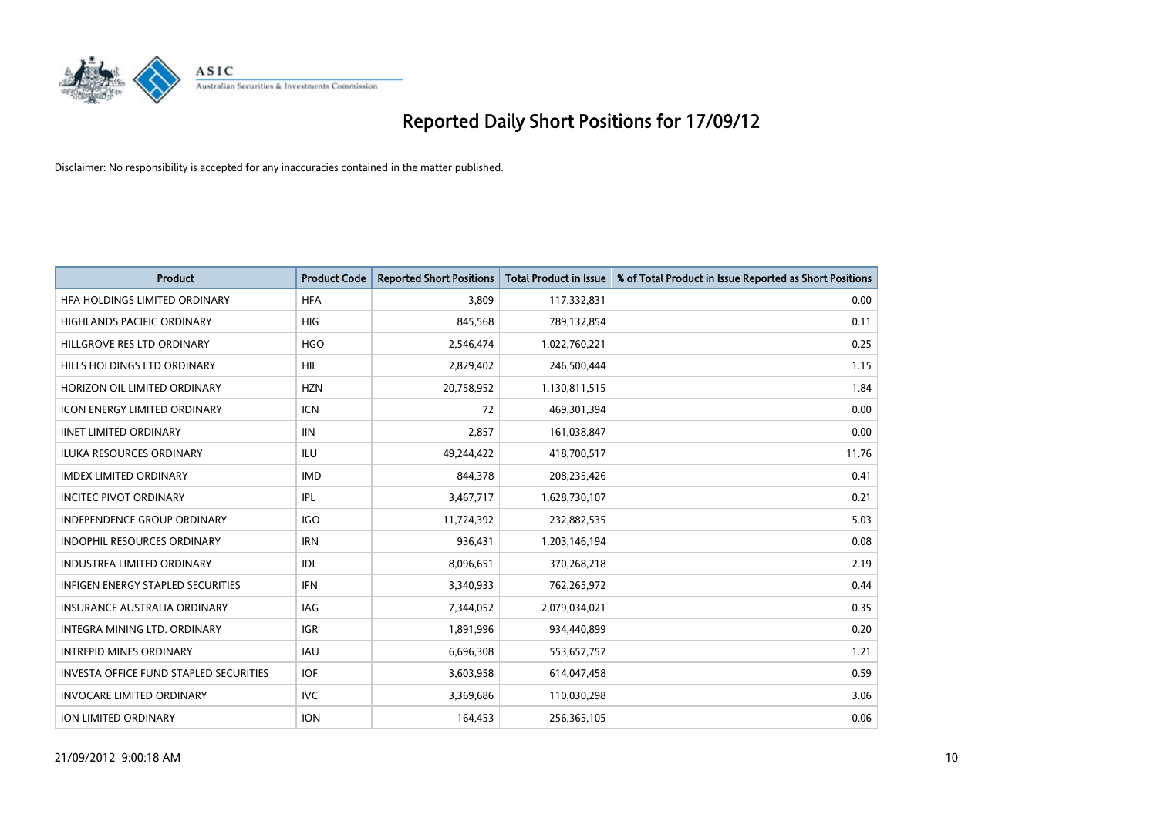

| <b>Product</b>                                | <b>Product Code</b> | <b>Reported Short Positions</b> | <b>Total Product in Issue</b> | % of Total Product in Issue Reported as Short Positions |
|-----------------------------------------------|---------------------|---------------------------------|-------------------------------|---------------------------------------------------------|
| HFA HOLDINGS LIMITED ORDINARY                 | <b>HFA</b>          | 3.809                           | 117,332,831                   | 0.00                                                    |
| <b>HIGHLANDS PACIFIC ORDINARY</b>             | <b>HIG</b>          | 845,568                         | 789,132,854                   | 0.11                                                    |
| HILLGROVE RES LTD ORDINARY                    | <b>HGO</b>          | 2,546,474                       | 1,022,760,221                 | 0.25                                                    |
| HILLS HOLDINGS LTD ORDINARY                   | <b>HIL</b>          | 2,829,402                       | 246,500,444                   | 1.15                                                    |
| HORIZON OIL LIMITED ORDINARY                  | <b>HZN</b>          | 20,758,952                      | 1,130,811,515                 | 1.84                                                    |
| <b>ICON ENERGY LIMITED ORDINARY</b>           | <b>ICN</b>          | 72                              | 469,301,394                   | 0.00                                                    |
| <b>IINET LIMITED ORDINARY</b>                 | <b>IIN</b>          | 2,857                           | 161,038,847                   | 0.00                                                    |
| <b>ILUKA RESOURCES ORDINARY</b>               | ILU                 | 49,244,422                      | 418,700,517                   | 11.76                                                   |
| <b>IMDEX LIMITED ORDINARY</b>                 | <b>IMD</b>          | 844,378                         | 208,235,426                   | 0.41                                                    |
| <b>INCITEC PIVOT ORDINARY</b>                 | IPL                 | 3,467,717                       | 1,628,730,107                 | 0.21                                                    |
| <b>INDEPENDENCE GROUP ORDINARY</b>            | <b>IGO</b>          | 11,724,392                      | 232,882,535                   | 5.03                                                    |
| INDOPHIL RESOURCES ORDINARY                   | <b>IRN</b>          | 936,431                         | 1,203,146,194                 | 0.08                                                    |
| <b>INDUSTREA LIMITED ORDINARY</b>             | IDL                 | 8,096,651                       | 370,268,218                   | 2.19                                                    |
| <b>INFIGEN ENERGY STAPLED SECURITIES</b>      | <b>IFN</b>          | 3,340,933                       | 762,265,972                   | 0.44                                                    |
| <b>INSURANCE AUSTRALIA ORDINARY</b>           | IAG                 | 7,344,052                       | 2,079,034,021                 | 0.35                                                    |
| <b>INTEGRA MINING LTD, ORDINARY</b>           | <b>IGR</b>          | 1,891,996                       | 934,440,899                   | 0.20                                                    |
| <b>INTREPID MINES ORDINARY</b>                | <b>IAU</b>          | 6,696,308                       | 553,657,757                   | 1.21                                                    |
| <b>INVESTA OFFICE FUND STAPLED SECURITIES</b> | <b>IOF</b>          | 3,603,958                       | 614,047,458                   | 0.59                                                    |
| <b>INVOCARE LIMITED ORDINARY</b>              | IVC                 | 3,369,686                       | 110,030,298                   | 3.06                                                    |
| ION LIMITED ORDINARY                          | <b>ION</b>          | 164,453                         | 256,365,105                   | 0.06                                                    |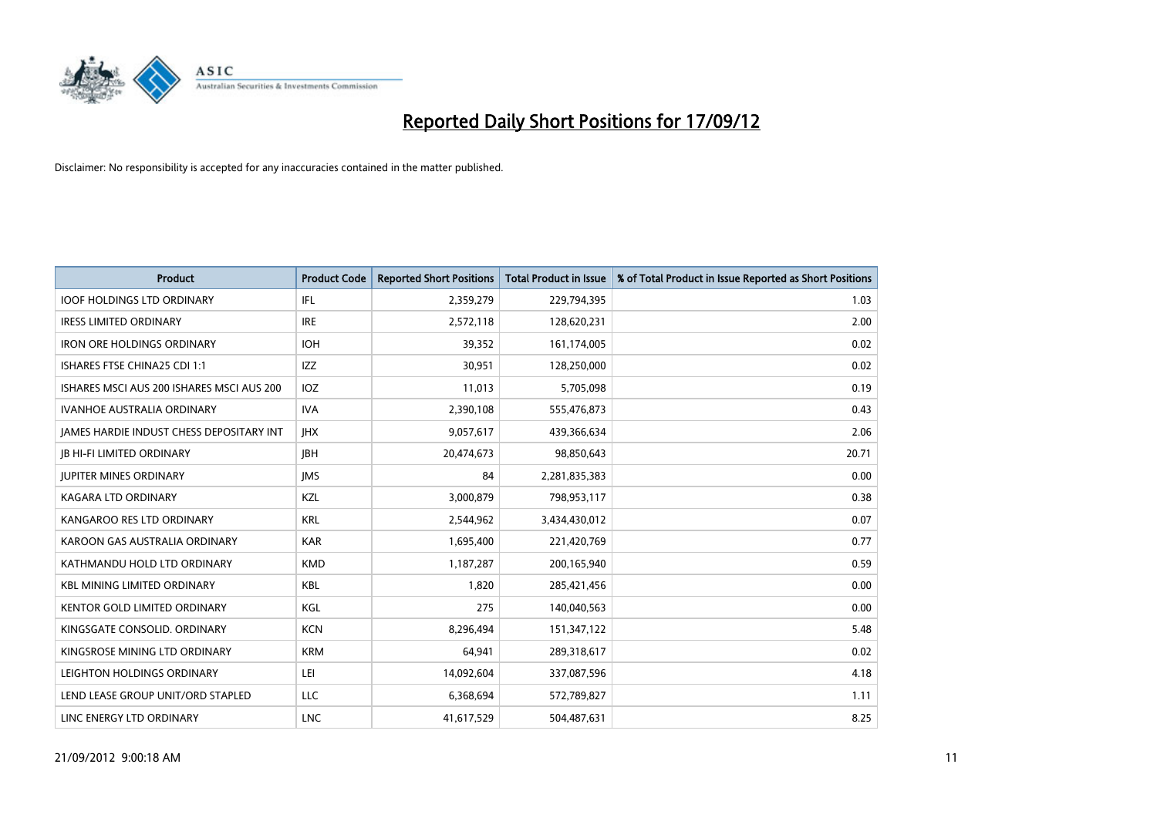

| <b>Product</b>                                  | <b>Product Code</b> | <b>Reported Short Positions</b> | <b>Total Product in Issue</b> | % of Total Product in Issue Reported as Short Positions |
|-------------------------------------------------|---------------------|---------------------------------|-------------------------------|---------------------------------------------------------|
| <b>IOOF HOLDINGS LTD ORDINARY</b>               | IFL.                | 2,359,279                       | 229,794,395                   | 1.03                                                    |
| <b>IRESS LIMITED ORDINARY</b>                   | <b>IRE</b>          | 2,572,118                       | 128,620,231                   | 2.00                                                    |
| <b>IRON ORE HOLDINGS ORDINARY</b>               | <b>IOH</b>          | 39,352                          | 161,174,005                   | 0.02                                                    |
| ISHARES FTSE CHINA25 CDI 1:1                    | IZZ                 | 30,951                          | 128,250,000                   | 0.02                                                    |
| ISHARES MSCI AUS 200 ISHARES MSCI AUS 200       | <b>IOZ</b>          | 11,013                          | 5,705,098                     | 0.19                                                    |
| <b>IVANHOE AUSTRALIA ORDINARY</b>               | <b>IVA</b>          | 2,390,108                       | 555,476,873                   | 0.43                                                    |
| <b>JAMES HARDIE INDUST CHESS DEPOSITARY INT</b> | <b>IHX</b>          | 9,057,617                       | 439,366,634                   | 2.06                                                    |
| <b>JB HI-FI LIMITED ORDINARY</b>                | <b>IBH</b>          | 20,474,673                      | 98,850,643                    | 20.71                                                   |
| <b>JUPITER MINES ORDINARY</b>                   | <b>IMS</b>          | 84                              | 2,281,835,383                 | 0.00                                                    |
| <b>KAGARA LTD ORDINARY</b>                      | <b>KZL</b>          | 3,000,879                       | 798,953,117                   | 0.38                                                    |
| KANGAROO RES LTD ORDINARY                       | <b>KRL</b>          | 2,544,962                       | 3,434,430,012                 | 0.07                                                    |
| KAROON GAS AUSTRALIA ORDINARY                   | <b>KAR</b>          | 1,695,400                       | 221,420,769                   | 0.77                                                    |
| KATHMANDU HOLD LTD ORDINARY                     | <b>KMD</b>          | 1,187,287                       | 200,165,940                   | 0.59                                                    |
| <b>KBL MINING LIMITED ORDINARY</b>              | <b>KBL</b>          | 1,820                           | 285,421,456                   | 0.00                                                    |
| <b>KENTOR GOLD LIMITED ORDINARY</b>             | <b>KGL</b>          | 275                             | 140,040,563                   | 0.00                                                    |
| KINGSGATE CONSOLID. ORDINARY                    | <b>KCN</b>          | 8,296,494                       | 151,347,122                   | 5.48                                                    |
| KINGSROSE MINING LTD ORDINARY                   | <b>KRM</b>          | 64,941                          | 289,318,617                   | 0.02                                                    |
| LEIGHTON HOLDINGS ORDINARY                      | LEI                 | 14,092,604                      | 337,087,596                   | 4.18                                                    |
| LEND LEASE GROUP UNIT/ORD STAPLED               | <b>LLC</b>          | 6,368,694                       | 572,789,827                   | 1.11                                                    |
| LINC ENERGY LTD ORDINARY                        | <b>LNC</b>          | 41,617,529                      | 504,487,631                   | 8.25                                                    |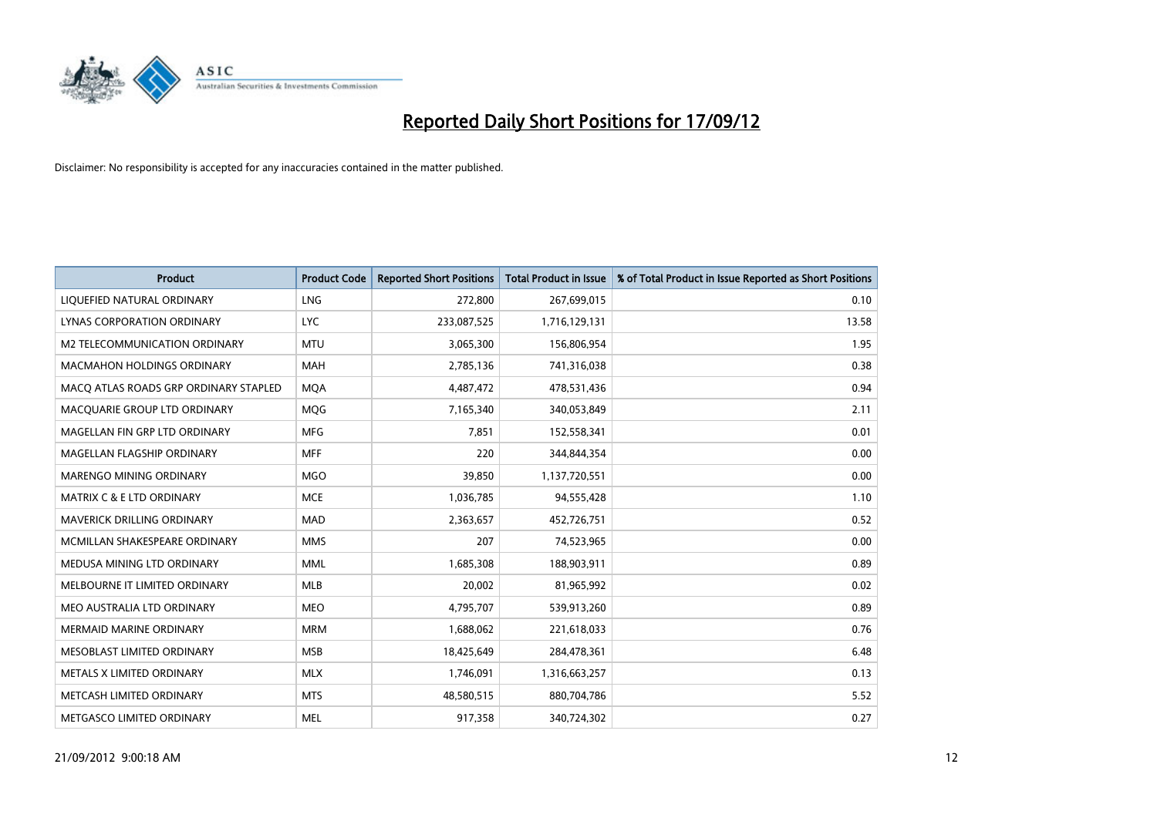

| <b>Product</b>                        | <b>Product Code</b> | <b>Reported Short Positions</b> | <b>Total Product in Issue</b> | % of Total Product in Issue Reported as Short Positions |
|---------------------------------------|---------------------|---------------------------------|-------------------------------|---------------------------------------------------------|
| LIQUEFIED NATURAL ORDINARY            | <b>LNG</b>          | 272,800                         | 267,699,015                   | 0.10                                                    |
| LYNAS CORPORATION ORDINARY            | <b>LYC</b>          | 233,087,525                     | 1,716,129,131                 | 13.58                                                   |
| M2 TELECOMMUNICATION ORDINARY         | <b>MTU</b>          | 3,065,300                       | 156,806,954                   | 1.95                                                    |
| <b>MACMAHON HOLDINGS ORDINARY</b>     | <b>MAH</b>          | 2,785,136                       | 741,316,038                   | 0.38                                                    |
| MACQ ATLAS ROADS GRP ORDINARY STAPLED | <b>MOA</b>          | 4,487,472                       | 478,531,436                   | 0.94                                                    |
| MACQUARIE GROUP LTD ORDINARY          | <b>MOG</b>          | 7,165,340                       | 340,053,849                   | 2.11                                                    |
| MAGELLAN FIN GRP LTD ORDINARY         | <b>MFG</b>          | 7,851                           | 152,558,341                   | 0.01                                                    |
| MAGELLAN FLAGSHIP ORDINARY            | <b>MFF</b>          | 220                             | 344,844,354                   | 0.00                                                    |
| <b>MARENGO MINING ORDINARY</b>        | <b>MGO</b>          | 39,850                          | 1,137,720,551                 | 0.00                                                    |
| <b>MATRIX C &amp; E LTD ORDINARY</b>  | <b>MCE</b>          | 1,036,785                       | 94,555,428                    | 1.10                                                    |
| MAVERICK DRILLING ORDINARY            | <b>MAD</b>          | 2,363,657                       | 452,726,751                   | 0.52                                                    |
| MCMILLAN SHAKESPEARE ORDINARY         | <b>MMS</b>          | 207                             | 74,523,965                    | 0.00                                                    |
| MEDUSA MINING LTD ORDINARY            | <b>MML</b>          | 1,685,308                       | 188,903,911                   | 0.89                                                    |
| MELBOURNE IT LIMITED ORDINARY         | <b>MLB</b>          | 20,002                          | 81,965,992                    | 0.02                                                    |
| MEO AUSTRALIA LTD ORDINARY            | <b>MEO</b>          | 4,795,707                       | 539,913,260                   | 0.89                                                    |
| <b>MERMAID MARINE ORDINARY</b>        | <b>MRM</b>          | 1,688,062                       | 221,618,033                   | 0.76                                                    |
| MESOBLAST LIMITED ORDINARY            | <b>MSB</b>          | 18,425,649                      | 284,478,361                   | 6.48                                                    |
| METALS X LIMITED ORDINARY             | <b>MLX</b>          | 1,746,091                       | 1,316,663,257                 | 0.13                                                    |
| METCASH LIMITED ORDINARY              | <b>MTS</b>          | 48,580,515                      | 880,704,786                   | 5.52                                                    |
| METGASCO LIMITED ORDINARY             | <b>MEL</b>          | 917,358                         | 340,724,302                   | 0.27                                                    |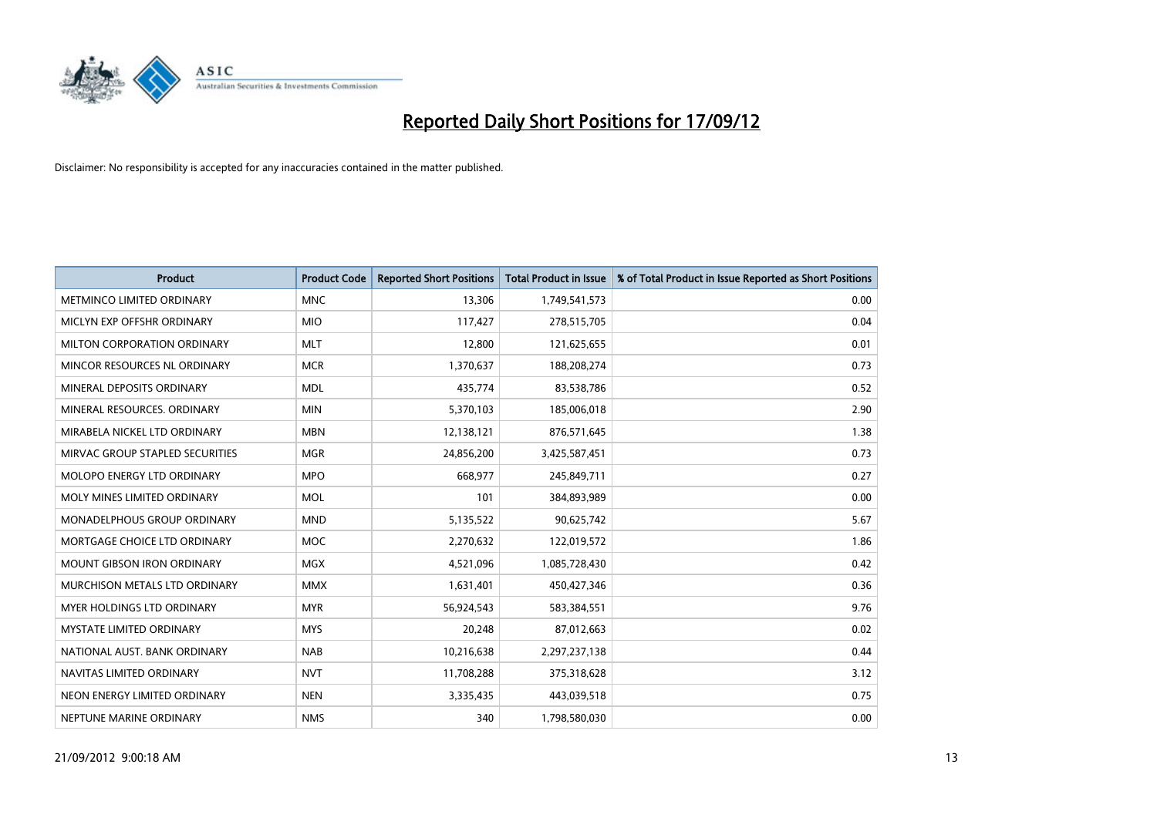

| <b>Product</b>                       | <b>Product Code</b> | <b>Reported Short Positions</b> | <b>Total Product in Issue</b> | % of Total Product in Issue Reported as Short Positions |
|--------------------------------------|---------------------|---------------------------------|-------------------------------|---------------------------------------------------------|
| METMINCO LIMITED ORDINARY            | <b>MNC</b>          | 13,306                          | 1,749,541,573                 | 0.00                                                    |
| MICLYN EXP OFFSHR ORDINARY           | <b>MIO</b>          | 117,427                         | 278,515,705                   | 0.04                                                    |
| MILTON CORPORATION ORDINARY          | <b>MLT</b>          | 12,800                          | 121,625,655                   | 0.01                                                    |
| MINCOR RESOURCES NL ORDINARY         | <b>MCR</b>          | 1,370,637                       | 188,208,274                   | 0.73                                                    |
| MINERAL DEPOSITS ORDINARY            | <b>MDL</b>          | 435,774                         | 83,538,786                    | 0.52                                                    |
| MINERAL RESOURCES, ORDINARY          | <b>MIN</b>          | 5,370,103                       | 185,006,018                   | 2.90                                                    |
| MIRABELA NICKEL LTD ORDINARY         | <b>MBN</b>          | 12,138,121                      | 876,571,645                   | 1.38                                                    |
| MIRVAC GROUP STAPLED SECURITIES      | <b>MGR</b>          | 24,856,200                      | 3,425,587,451                 | 0.73                                                    |
| MOLOPO ENERGY LTD ORDINARY           | <b>MPO</b>          | 668,977                         | 245,849,711                   | 0.27                                                    |
| MOLY MINES LIMITED ORDINARY          | <b>MOL</b>          | 101                             | 384,893,989                   | 0.00                                                    |
| MONADELPHOUS GROUP ORDINARY          | <b>MND</b>          | 5,135,522                       | 90,625,742                    | 5.67                                                    |
| MORTGAGE CHOICE LTD ORDINARY         | <b>MOC</b>          | 2,270,632                       | 122,019,572                   | 1.86                                                    |
| MOUNT GIBSON IRON ORDINARY           | <b>MGX</b>          | 4,521,096                       | 1,085,728,430                 | 0.42                                                    |
| <b>MURCHISON METALS LTD ORDINARY</b> | <b>MMX</b>          | 1,631,401                       | 450,427,346                   | 0.36                                                    |
| <b>MYER HOLDINGS LTD ORDINARY</b>    | <b>MYR</b>          | 56,924,543                      | 583,384,551                   | 9.76                                                    |
| <b>MYSTATE LIMITED ORDINARY</b>      | <b>MYS</b>          | 20,248                          | 87,012,663                    | 0.02                                                    |
| NATIONAL AUST, BANK ORDINARY         | <b>NAB</b>          | 10,216,638                      | 2,297,237,138                 | 0.44                                                    |
| NAVITAS LIMITED ORDINARY             | <b>NVT</b>          | 11,708,288                      | 375,318,628                   | 3.12                                                    |
| NEON ENERGY LIMITED ORDINARY         | <b>NEN</b>          | 3,335,435                       | 443,039,518                   | 0.75                                                    |
| NEPTUNE MARINE ORDINARY              | <b>NMS</b>          | 340                             | 1,798,580,030                 | 0.00                                                    |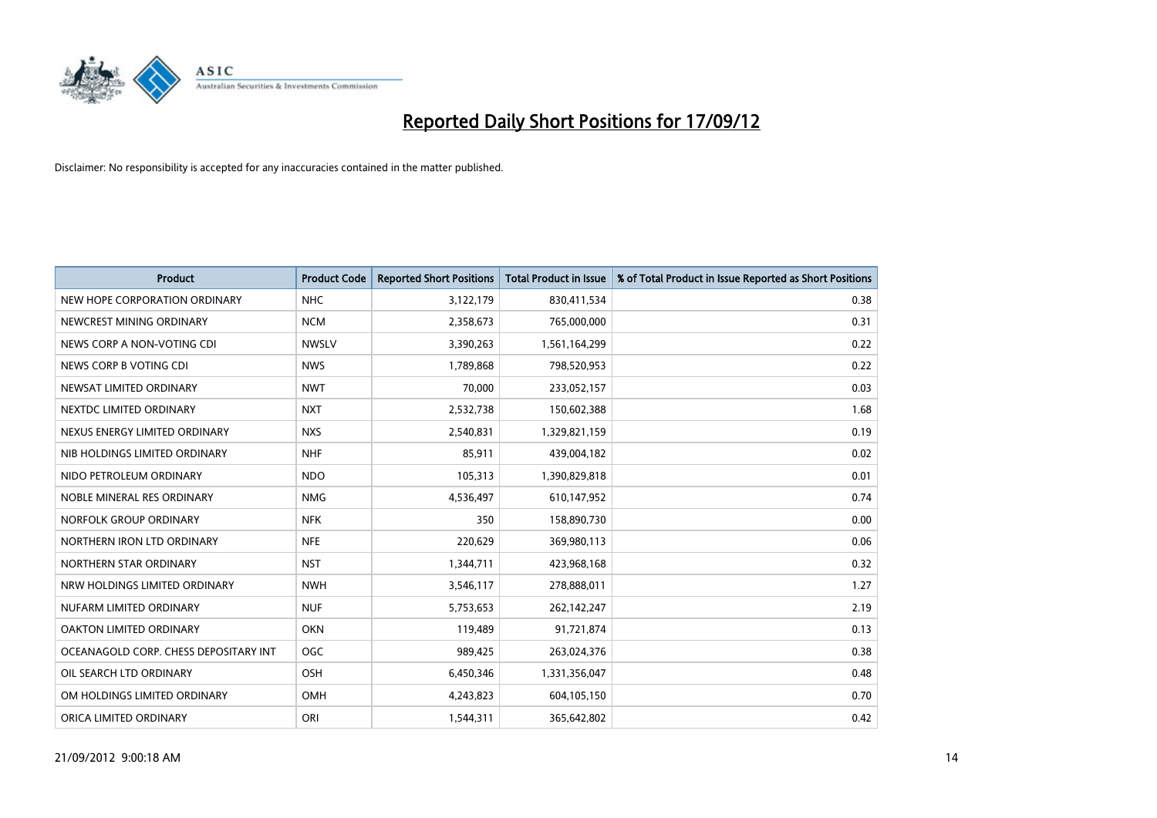

| <b>Product</b>                        | <b>Product Code</b> | <b>Reported Short Positions</b> | <b>Total Product in Issue</b> | % of Total Product in Issue Reported as Short Positions |
|---------------------------------------|---------------------|---------------------------------|-------------------------------|---------------------------------------------------------|
| NEW HOPE CORPORATION ORDINARY         | <b>NHC</b>          | 3,122,179                       | 830,411,534                   | 0.38                                                    |
| NEWCREST MINING ORDINARY              | <b>NCM</b>          | 2,358,673                       | 765,000,000                   | 0.31                                                    |
| NEWS CORP A NON-VOTING CDI            | <b>NWSLV</b>        | 3,390,263                       | 1,561,164,299                 | 0.22                                                    |
| NEWS CORP B VOTING CDI                | <b>NWS</b>          | 1,789,868                       | 798,520,953                   | 0.22                                                    |
| NEWSAT LIMITED ORDINARY               | <b>NWT</b>          | 70,000                          | 233,052,157                   | 0.03                                                    |
| NEXTDC LIMITED ORDINARY               | <b>NXT</b>          | 2,532,738                       | 150,602,388                   | 1.68                                                    |
| NEXUS ENERGY LIMITED ORDINARY         | <b>NXS</b>          | 2,540,831                       | 1,329,821,159                 | 0.19                                                    |
| NIB HOLDINGS LIMITED ORDINARY         | <b>NHF</b>          | 85,911                          | 439,004,182                   | 0.02                                                    |
| NIDO PETROLEUM ORDINARY               | <b>NDO</b>          | 105,313                         | 1,390,829,818                 | 0.01                                                    |
| NOBLE MINERAL RES ORDINARY            | <b>NMG</b>          | 4,536,497                       | 610,147,952                   | 0.74                                                    |
| NORFOLK GROUP ORDINARY                | <b>NFK</b>          | 350                             | 158,890,730                   | 0.00                                                    |
| NORTHERN IRON LTD ORDINARY            | <b>NFE</b>          | 220,629                         | 369,980,113                   | 0.06                                                    |
| NORTHERN STAR ORDINARY                | <b>NST</b>          | 1,344,711                       | 423,968,168                   | 0.32                                                    |
| NRW HOLDINGS LIMITED ORDINARY         | <b>NWH</b>          | 3,546,117                       | 278,888,011                   | 1.27                                                    |
| NUFARM LIMITED ORDINARY               | <b>NUF</b>          | 5,753,653                       | 262,142,247                   | 2.19                                                    |
| OAKTON LIMITED ORDINARY               | <b>OKN</b>          | 119,489                         | 91,721,874                    | 0.13                                                    |
| OCEANAGOLD CORP. CHESS DEPOSITARY INT | <b>OGC</b>          | 989,425                         | 263,024,376                   | 0.38                                                    |
| OIL SEARCH LTD ORDINARY               | OSH                 | 6,450,346                       | 1,331,356,047                 | 0.48                                                    |
| OM HOLDINGS LIMITED ORDINARY          | <b>OMH</b>          | 4,243,823                       | 604,105,150                   | 0.70                                                    |
| ORICA LIMITED ORDINARY                | ORI                 | 1,544,311                       | 365,642,802                   | 0.42                                                    |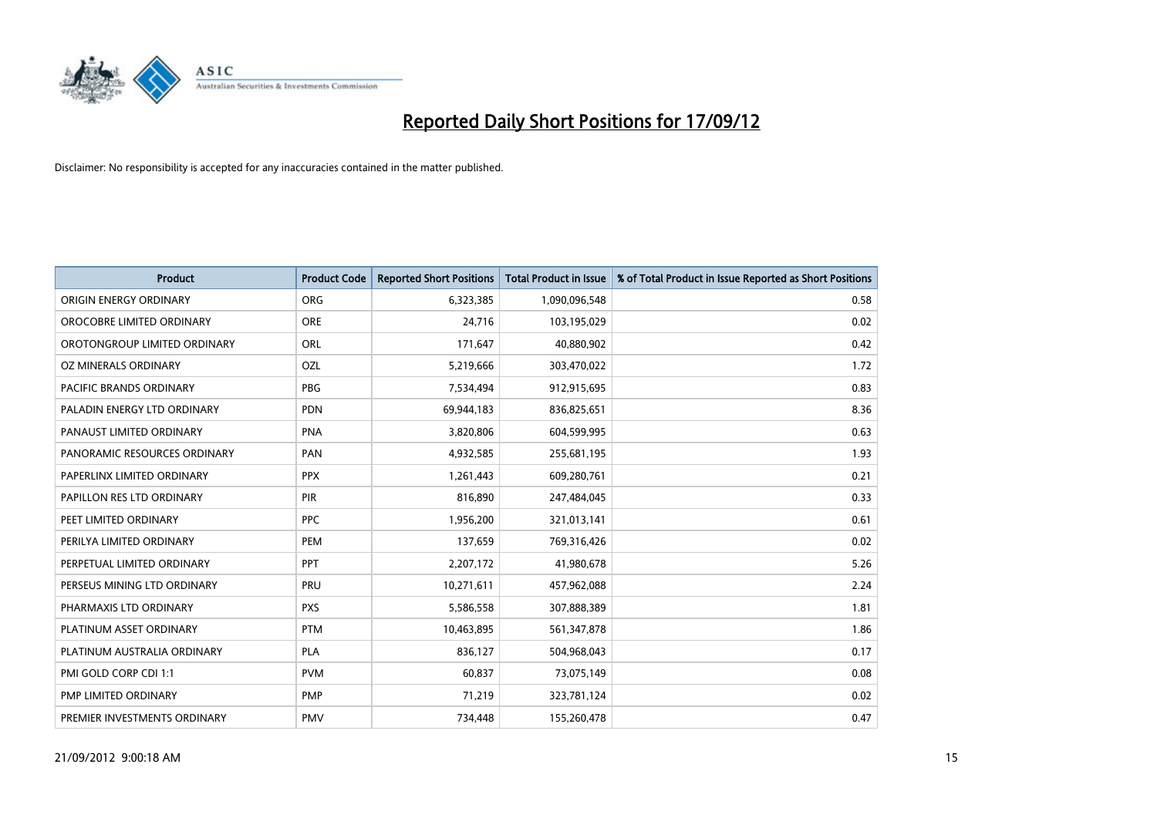

| <b>Product</b>               | <b>Product Code</b> | <b>Reported Short Positions</b> | <b>Total Product in Issue</b> | % of Total Product in Issue Reported as Short Positions |
|------------------------------|---------------------|---------------------------------|-------------------------------|---------------------------------------------------------|
| ORIGIN ENERGY ORDINARY       | <b>ORG</b>          | 6,323,385                       | 1,090,096,548                 | 0.58                                                    |
| OROCOBRE LIMITED ORDINARY    | <b>ORE</b>          | 24,716                          | 103,195,029                   | 0.02                                                    |
| OROTONGROUP LIMITED ORDINARY | <b>ORL</b>          | 171,647                         | 40,880,902                    | 0.42                                                    |
| OZ MINERALS ORDINARY         | OZL                 | 5,219,666                       | 303,470,022                   | 1.72                                                    |
| PACIFIC BRANDS ORDINARY      | <b>PBG</b>          | 7,534,494                       | 912,915,695                   | 0.83                                                    |
| PALADIN ENERGY LTD ORDINARY  | <b>PDN</b>          | 69,944,183                      | 836,825,651                   | 8.36                                                    |
| PANAUST LIMITED ORDINARY     | <b>PNA</b>          | 3,820,806                       | 604,599,995                   | 0.63                                                    |
| PANORAMIC RESOURCES ORDINARY | PAN                 | 4,932,585                       | 255,681,195                   | 1.93                                                    |
| PAPERLINX LIMITED ORDINARY   | <b>PPX</b>          | 1,261,443                       | 609,280,761                   | 0.21                                                    |
| PAPILLON RES LTD ORDINARY    | PIR                 | 816,890                         | 247,484,045                   | 0.33                                                    |
| PEET LIMITED ORDINARY        | <b>PPC</b>          | 1,956,200                       | 321,013,141                   | 0.61                                                    |
| PERILYA LIMITED ORDINARY     | PEM                 | 137,659                         | 769,316,426                   | 0.02                                                    |
| PERPETUAL LIMITED ORDINARY   | PPT                 | 2,207,172                       | 41,980,678                    | 5.26                                                    |
| PERSEUS MINING LTD ORDINARY  | PRU                 | 10,271,611                      | 457,962,088                   | 2.24                                                    |
| PHARMAXIS LTD ORDINARY       | <b>PXS</b>          | 5,586,558                       | 307,888,389                   | 1.81                                                    |
| PLATINUM ASSET ORDINARY      | <b>PTM</b>          | 10,463,895                      | 561,347,878                   | 1.86                                                    |
| PLATINUM AUSTRALIA ORDINARY  | PLA                 | 836,127                         | 504,968,043                   | 0.17                                                    |
| PMI GOLD CORP CDI 1:1        | <b>PVM</b>          | 60,837                          | 73,075,149                    | 0.08                                                    |
| PMP LIMITED ORDINARY         | <b>PMP</b>          | 71,219                          | 323,781,124                   | 0.02                                                    |
| PREMIER INVESTMENTS ORDINARY | PMV                 | 734,448                         | 155,260,478                   | 0.47                                                    |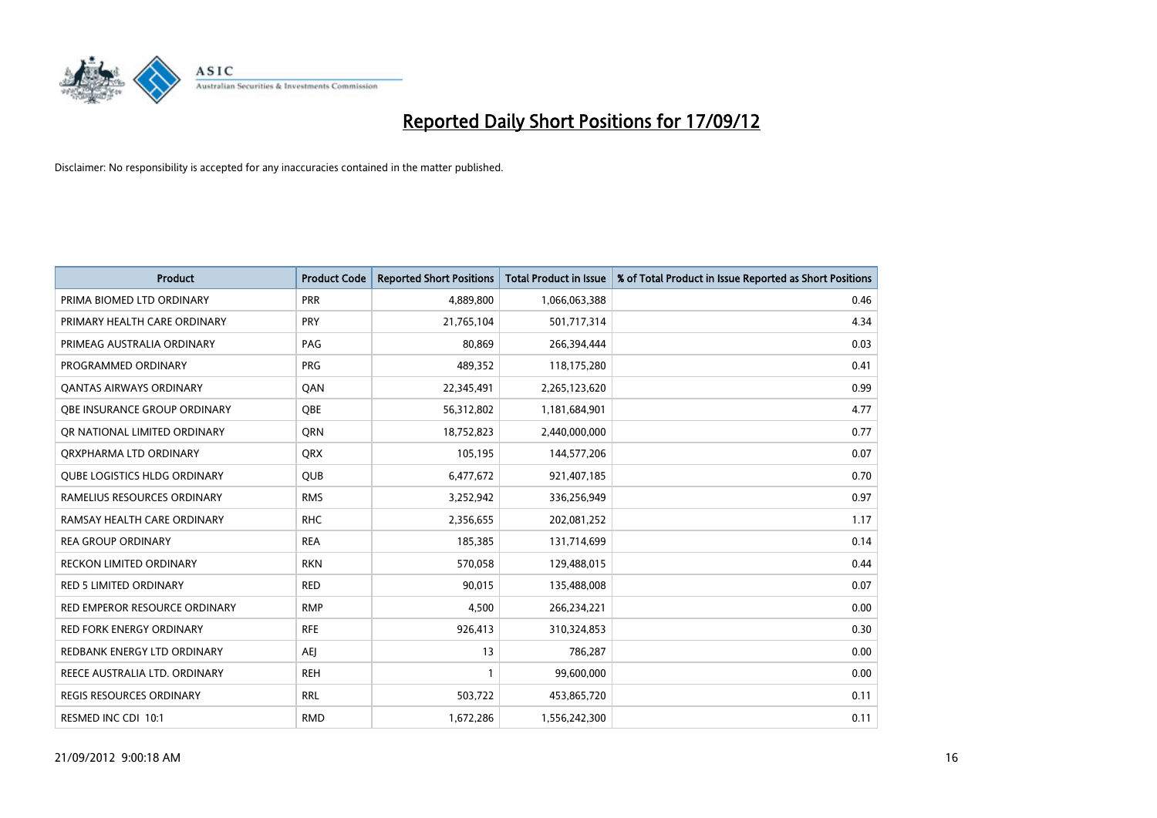

| <b>Product</b>                      | <b>Product Code</b> | <b>Reported Short Positions</b> | <b>Total Product in Issue</b> | % of Total Product in Issue Reported as Short Positions |
|-------------------------------------|---------------------|---------------------------------|-------------------------------|---------------------------------------------------------|
| PRIMA BIOMED LTD ORDINARY           | <b>PRR</b>          | 4,889,800                       | 1,066,063,388                 | 0.46                                                    |
| PRIMARY HEALTH CARE ORDINARY        | <b>PRY</b>          | 21,765,104                      | 501,717,314                   | 4.34                                                    |
| PRIMEAG AUSTRALIA ORDINARY          | PAG                 | 80,869                          | 266,394,444                   | 0.03                                                    |
| PROGRAMMED ORDINARY                 | <b>PRG</b>          | 489,352                         | 118,175,280                   | 0.41                                                    |
| <b>QANTAS AIRWAYS ORDINARY</b>      | QAN                 | 22,345,491                      | 2,265,123,620                 | 0.99                                                    |
| <b>OBE INSURANCE GROUP ORDINARY</b> | <b>OBE</b>          | 56,312,802                      | 1,181,684,901                 | 4.77                                                    |
| OR NATIONAL LIMITED ORDINARY        | <b>ORN</b>          | 18,752,823                      | 2,440,000,000                 | 0.77                                                    |
| ORXPHARMA LTD ORDINARY              | <b>ORX</b>          | 105,195                         | 144,577,206                   | 0.07                                                    |
| <b>QUBE LOGISTICS HLDG ORDINARY</b> | <b>QUB</b>          | 6,477,672                       | 921,407,185                   | 0.70                                                    |
| RAMELIUS RESOURCES ORDINARY         | <b>RMS</b>          | 3,252,942                       | 336,256,949                   | 0.97                                                    |
| RAMSAY HEALTH CARE ORDINARY         | <b>RHC</b>          | 2,356,655                       | 202,081,252                   | 1.17                                                    |
| <b>REA GROUP ORDINARY</b>           | <b>REA</b>          | 185,385                         | 131,714,699                   | 0.14                                                    |
| RECKON LIMITED ORDINARY             | <b>RKN</b>          | 570,058                         | 129,488,015                   | 0.44                                                    |
| <b>RED 5 LIMITED ORDINARY</b>       | <b>RED</b>          | 90,015                          | 135,488,008                   | 0.07                                                    |
| RED EMPEROR RESOURCE ORDINARY       | <b>RMP</b>          | 4,500                           | 266,234,221                   | 0.00                                                    |
| <b>RED FORK ENERGY ORDINARY</b>     | <b>RFE</b>          | 926,413                         | 310,324,853                   | 0.30                                                    |
| REDBANK ENERGY LTD ORDINARY         | <b>AEI</b>          | 13                              | 786,287                       | 0.00                                                    |
| REECE AUSTRALIA LTD. ORDINARY       | <b>REH</b>          |                                 | 99,600,000                    | 0.00                                                    |
| <b>REGIS RESOURCES ORDINARY</b>     | <b>RRL</b>          | 503,722                         | 453,865,720                   | 0.11                                                    |
| RESMED INC CDI 10:1                 | <b>RMD</b>          | 1,672,286                       | 1,556,242,300                 | 0.11                                                    |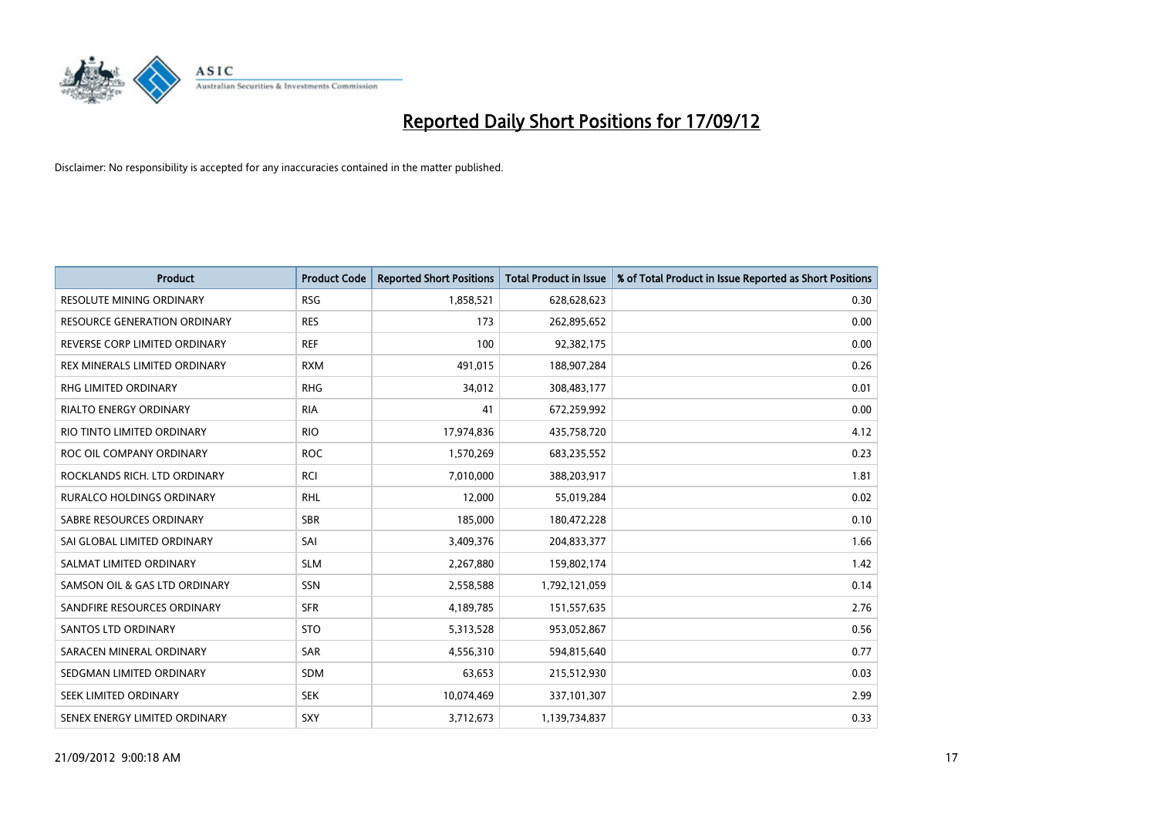

| <b>Product</b>                      | <b>Product Code</b> | <b>Reported Short Positions</b> | <b>Total Product in Issue</b> | % of Total Product in Issue Reported as Short Positions |
|-------------------------------------|---------------------|---------------------------------|-------------------------------|---------------------------------------------------------|
| <b>RESOLUTE MINING ORDINARY</b>     | <b>RSG</b>          | 1,858,521                       | 628,628,623                   | 0.30                                                    |
| <b>RESOURCE GENERATION ORDINARY</b> | <b>RES</b>          | 173                             | 262,895,652                   | 0.00                                                    |
| REVERSE CORP LIMITED ORDINARY       | <b>REF</b>          | 100                             | 92,382,175                    | 0.00                                                    |
| REX MINERALS LIMITED ORDINARY       | <b>RXM</b>          | 491,015                         | 188,907,284                   | 0.26                                                    |
| <b>RHG LIMITED ORDINARY</b>         | <b>RHG</b>          | 34,012                          | 308,483,177                   | 0.01                                                    |
| <b>RIALTO ENERGY ORDINARY</b>       | <b>RIA</b>          | 41                              | 672,259,992                   | 0.00                                                    |
| RIO TINTO LIMITED ORDINARY          | <b>RIO</b>          | 17,974,836                      | 435,758,720                   | 4.12                                                    |
| ROC OIL COMPANY ORDINARY            | <b>ROC</b>          | 1,570,269                       | 683,235,552                   | 0.23                                                    |
| ROCKLANDS RICH. LTD ORDINARY        | <b>RCI</b>          | 7,010,000                       | 388,203,917                   | 1.81                                                    |
| <b>RURALCO HOLDINGS ORDINARY</b>    | <b>RHL</b>          | 12,000                          | 55,019,284                    | 0.02                                                    |
| SABRE RESOURCES ORDINARY            | <b>SBR</b>          | 185,000                         | 180,472,228                   | 0.10                                                    |
| SAI GLOBAL LIMITED ORDINARY         | SAI                 | 3,409,376                       | 204,833,377                   | 1.66                                                    |
| SALMAT LIMITED ORDINARY             | <b>SLM</b>          | 2,267,880                       | 159,802,174                   | 1.42                                                    |
| SAMSON OIL & GAS LTD ORDINARY       | SSN                 | 2,558,588                       | 1,792,121,059                 | 0.14                                                    |
| SANDFIRE RESOURCES ORDINARY         | <b>SFR</b>          | 4,189,785                       | 151,557,635                   | 2.76                                                    |
| <b>SANTOS LTD ORDINARY</b>          | <b>STO</b>          | 5,313,528                       | 953,052,867                   | 0.56                                                    |
| SARACEN MINERAL ORDINARY            | SAR                 | 4,556,310                       | 594,815,640                   | 0.77                                                    |
| SEDGMAN LIMITED ORDINARY            | <b>SDM</b>          | 63,653                          | 215,512,930                   | 0.03                                                    |
| SEEK LIMITED ORDINARY               | <b>SEK</b>          | 10,074,469                      | 337,101,307                   | 2.99                                                    |
| SENEX ENERGY LIMITED ORDINARY       | SXY                 | 3,712,673                       | 1,139,734,837                 | 0.33                                                    |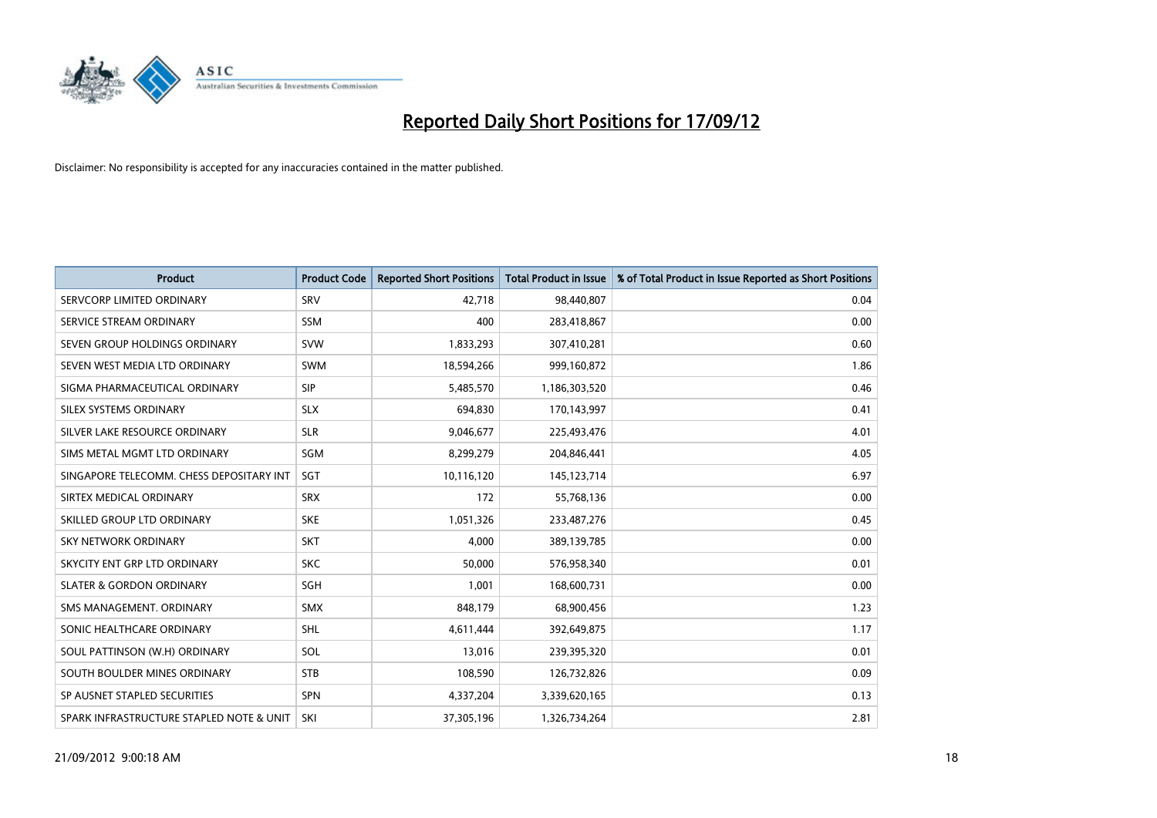

| <b>Product</b>                           | <b>Product Code</b> | <b>Reported Short Positions</b> | <b>Total Product in Issue</b> | % of Total Product in Issue Reported as Short Positions |
|------------------------------------------|---------------------|---------------------------------|-------------------------------|---------------------------------------------------------|
| SERVCORP LIMITED ORDINARY                | SRV                 | 42.718                          | 98,440,807                    | 0.04                                                    |
| SERVICE STREAM ORDINARY                  | <b>SSM</b>          | 400                             | 283,418,867                   | 0.00                                                    |
| SEVEN GROUP HOLDINGS ORDINARY            | <b>SVW</b>          | 1,833,293                       | 307,410,281                   | 0.60                                                    |
| SEVEN WEST MEDIA LTD ORDINARY            | <b>SWM</b>          | 18,594,266                      | 999,160,872                   | 1.86                                                    |
| SIGMA PHARMACEUTICAL ORDINARY            | <b>SIP</b>          | 5,485,570                       | 1,186,303,520                 | 0.46                                                    |
| SILEX SYSTEMS ORDINARY                   | <b>SLX</b>          | 694.830                         | 170,143,997                   | 0.41                                                    |
| SILVER LAKE RESOURCE ORDINARY            | <b>SLR</b>          | 9,046,677                       | 225,493,476                   | 4.01                                                    |
| SIMS METAL MGMT LTD ORDINARY             | SGM                 | 8,299,279                       | 204,846,441                   | 4.05                                                    |
| SINGAPORE TELECOMM. CHESS DEPOSITARY INT | SGT                 | 10,116,120                      | 145, 123, 714                 | 6.97                                                    |
| SIRTEX MEDICAL ORDINARY                  | <b>SRX</b>          | 172                             | 55,768,136                    | 0.00                                                    |
| SKILLED GROUP LTD ORDINARY               | <b>SKE</b>          | 1,051,326                       | 233,487,276                   | 0.45                                                    |
| <b>SKY NETWORK ORDINARY</b>              | <b>SKT</b>          | 4,000                           | 389,139,785                   | 0.00                                                    |
| SKYCITY ENT GRP LTD ORDINARY             | <b>SKC</b>          | 50,000                          | 576,958,340                   | 0.01                                                    |
| <b>SLATER &amp; GORDON ORDINARY</b>      | SGH                 | 1,001                           | 168,600,731                   | 0.00                                                    |
| SMS MANAGEMENT, ORDINARY                 | <b>SMX</b>          | 848,179                         | 68,900,456                    | 1.23                                                    |
| SONIC HEALTHCARE ORDINARY                | SHL                 | 4,611,444                       | 392,649,875                   | 1.17                                                    |
| SOUL PATTINSON (W.H) ORDINARY            | SOL                 | 13,016                          | 239,395,320                   | 0.01                                                    |
| SOUTH BOULDER MINES ORDINARY             | <b>STB</b>          | 108,590                         | 126,732,826                   | 0.09                                                    |
| SP AUSNET STAPLED SECURITIES             | <b>SPN</b>          | 4,337,204                       | 3,339,620,165                 | 0.13                                                    |
| SPARK INFRASTRUCTURE STAPLED NOTE & UNIT | SKI                 | 37,305,196                      | 1,326,734,264                 | 2.81                                                    |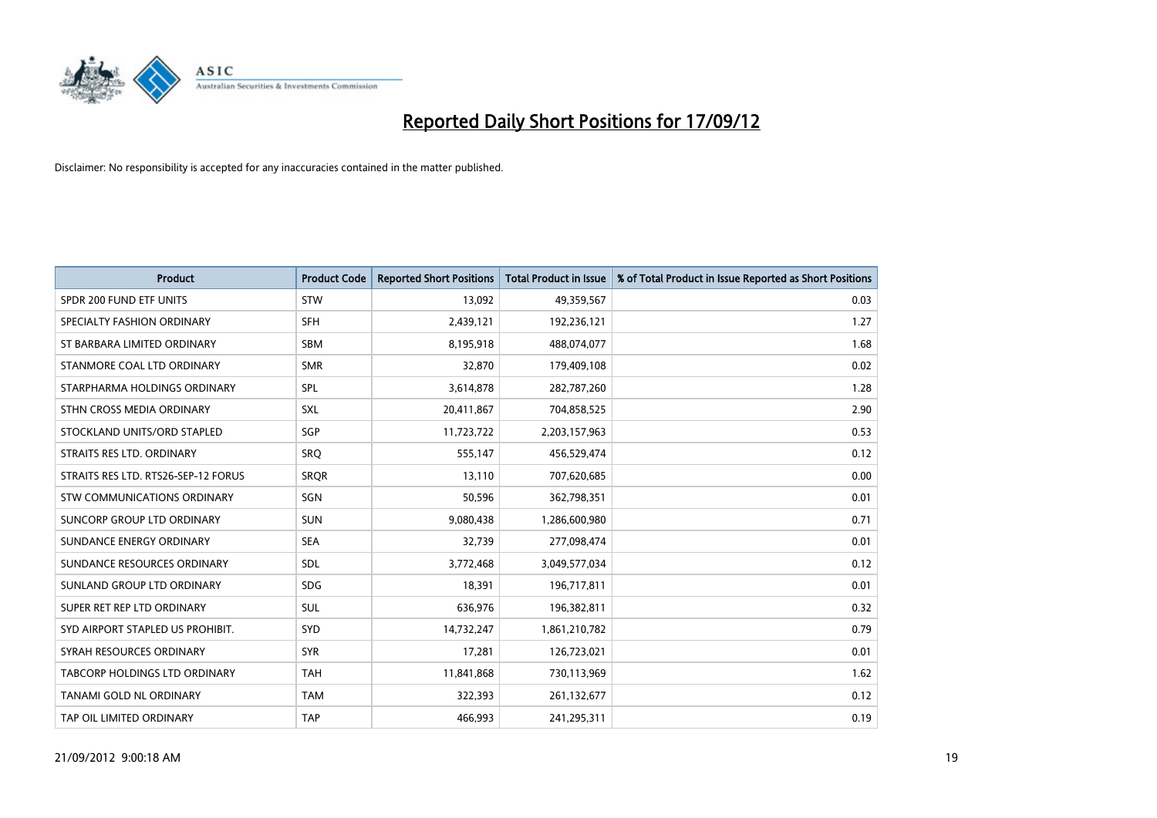

| <b>Product</b>                      | <b>Product Code</b> | <b>Reported Short Positions</b> | <b>Total Product in Issue</b> | % of Total Product in Issue Reported as Short Positions |
|-------------------------------------|---------------------|---------------------------------|-------------------------------|---------------------------------------------------------|
| SPDR 200 FUND ETF UNITS             | <b>STW</b>          | 13,092                          | 49,359,567                    | 0.03                                                    |
| SPECIALTY FASHION ORDINARY          | <b>SFH</b>          | 2,439,121                       | 192,236,121                   | 1.27                                                    |
| ST BARBARA LIMITED ORDINARY         | <b>SBM</b>          | 8,195,918                       | 488,074,077                   | 1.68                                                    |
| STANMORE COAL LTD ORDINARY          | <b>SMR</b>          | 32,870                          | 179,409,108                   | 0.02                                                    |
| STARPHARMA HOLDINGS ORDINARY        | <b>SPL</b>          | 3,614,878                       | 282,787,260                   | 1.28                                                    |
| STHN CROSS MEDIA ORDINARY           | <b>SXL</b>          | 20,411,867                      | 704,858,525                   | 2.90                                                    |
| STOCKLAND UNITS/ORD STAPLED         | <b>SGP</b>          | 11,723,722                      | 2,203,157,963                 | 0.53                                                    |
| STRAITS RES LTD. ORDINARY           | SRO                 | 555,147                         | 456,529,474                   | 0.12                                                    |
| STRAITS RES LTD. RTS26-SEP-12 FORUS | <b>SROR</b>         | 13,110                          | 707,620,685                   | 0.00                                                    |
| STW COMMUNICATIONS ORDINARY         | SGN                 | 50,596                          | 362,798,351                   | 0.01                                                    |
| SUNCORP GROUP LTD ORDINARY          | <b>SUN</b>          | 9,080,438                       | 1,286,600,980                 | 0.71                                                    |
| SUNDANCE ENERGY ORDINARY            | <b>SEA</b>          | 32,739                          | 277,098,474                   | 0.01                                                    |
| SUNDANCE RESOURCES ORDINARY         | <b>SDL</b>          | 3,772,468                       | 3,049,577,034                 | 0.12                                                    |
| SUNLAND GROUP LTD ORDINARY          | <b>SDG</b>          | 18,391                          | 196,717,811                   | 0.01                                                    |
| SUPER RET REP LTD ORDINARY          | <b>SUL</b>          | 636,976                         | 196,382,811                   | 0.32                                                    |
| SYD AIRPORT STAPLED US PROHIBIT.    | <b>SYD</b>          | 14,732,247                      | 1,861,210,782                 | 0.79                                                    |
| SYRAH RESOURCES ORDINARY            | <b>SYR</b>          | 17,281                          | 126,723,021                   | 0.01                                                    |
| TABCORP HOLDINGS LTD ORDINARY       | <b>TAH</b>          | 11,841,868                      | 730,113,969                   | 1.62                                                    |
| TANAMI GOLD NL ORDINARY             | <b>TAM</b>          | 322,393                         | 261,132,677                   | 0.12                                                    |
| TAP OIL LIMITED ORDINARY            | <b>TAP</b>          | 466,993                         | 241,295,311                   | 0.19                                                    |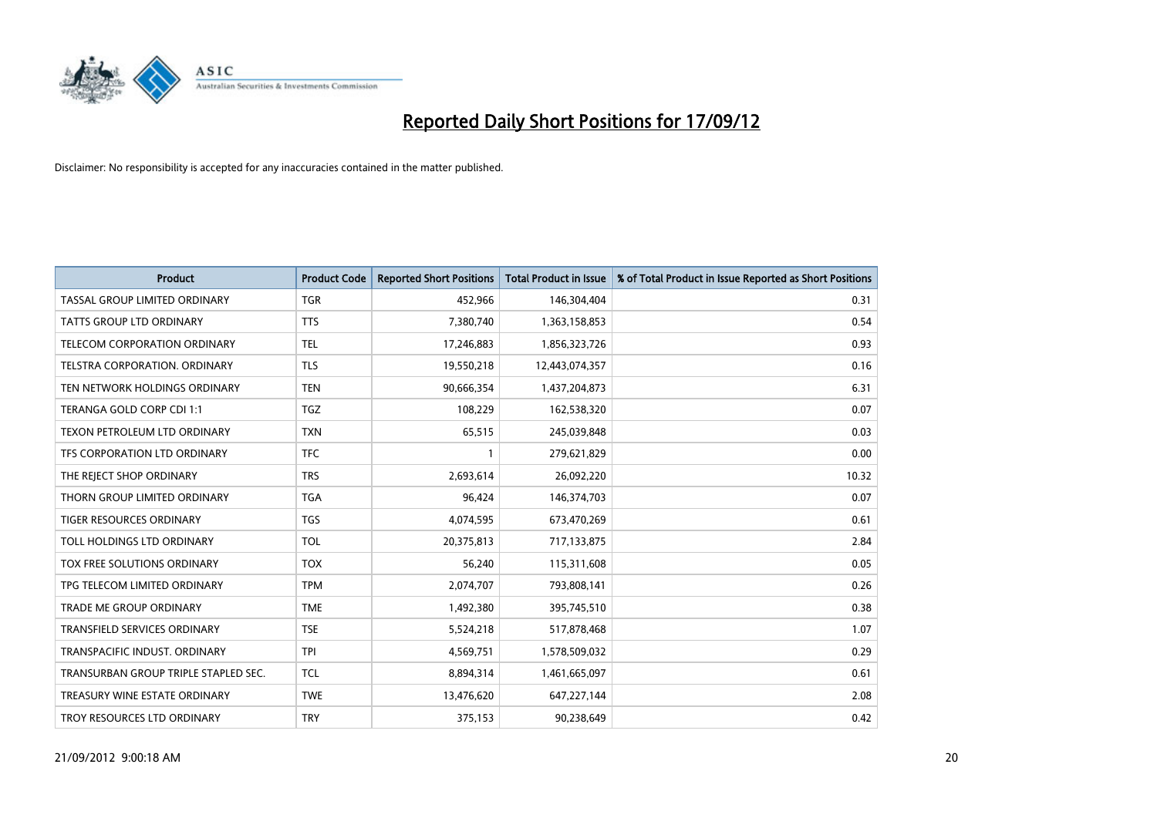

| <b>Product</b>                       | <b>Product Code</b> | <b>Reported Short Positions</b> | <b>Total Product in Issue</b> | % of Total Product in Issue Reported as Short Positions |
|--------------------------------------|---------------------|---------------------------------|-------------------------------|---------------------------------------------------------|
| TASSAL GROUP LIMITED ORDINARY        | <b>TGR</b>          | 452,966                         | 146,304,404                   | 0.31                                                    |
| TATTS GROUP LTD ORDINARY             | <b>TTS</b>          | 7,380,740                       | 1,363,158,853                 | 0.54                                                    |
| TELECOM CORPORATION ORDINARY         | <b>TEL</b>          | 17,246,883                      | 1,856,323,726                 | 0.93                                                    |
| <b>TELSTRA CORPORATION, ORDINARY</b> | <b>TLS</b>          | 19,550,218                      | 12,443,074,357                | 0.16                                                    |
| TEN NETWORK HOLDINGS ORDINARY        | <b>TEN</b>          | 90,666,354                      | 1,437,204,873                 | 6.31                                                    |
| TERANGA GOLD CORP CDI 1:1            | <b>TGZ</b>          | 108,229                         | 162,538,320                   | 0.07                                                    |
| TEXON PETROLEUM LTD ORDINARY         | <b>TXN</b>          | 65,515                          | 245,039,848                   | 0.03                                                    |
| TFS CORPORATION LTD ORDINARY         | <b>TFC</b>          |                                 | 279,621,829                   | 0.00                                                    |
| THE REJECT SHOP ORDINARY             | <b>TRS</b>          | 2,693,614                       | 26,092,220                    | 10.32                                                   |
| THORN GROUP LIMITED ORDINARY         | <b>TGA</b>          | 96,424                          | 146,374,703                   | 0.07                                                    |
| TIGER RESOURCES ORDINARY             | <b>TGS</b>          | 4,074,595                       | 673,470,269                   | 0.61                                                    |
| TOLL HOLDINGS LTD ORDINARY           | TOL                 | 20,375,813                      | 717,133,875                   | 2.84                                                    |
| <b>TOX FREE SOLUTIONS ORDINARY</b>   | <b>TOX</b>          | 56,240                          | 115,311,608                   | 0.05                                                    |
| TPG TELECOM LIMITED ORDINARY         | <b>TPM</b>          | 2,074,707                       | 793,808,141                   | 0.26                                                    |
| <b>TRADE ME GROUP ORDINARY</b>       | <b>TME</b>          | 1,492,380                       | 395,745,510                   | 0.38                                                    |
| TRANSFIELD SERVICES ORDINARY         | <b>TSE</b>          | 5,524,218                       | 517,878,468                   | 1.07                                                    |
| TRANSPACIFIC INDUST. ORDINARY        | <b>TPI</b>          | 4,569,751                       | 1,578,509,032                 | 0.29                                                    |
| TRANSURBAN GROUP TRIPLE STAPLED SEC. | <b>TCL</b>          | 8,894,314                       | 1,461,665,097                 | 0.61                                                    |
| TREASURY WINE ESTATE ORDINARY        | <b>TWE</b>          | 13,476,620                      | 647,227,144                   | 2.08                                                    |
| TROY RESOURCES LTD ORDINARY          | <b>TRY</b>          | 375,153                         | 90,238,649                    | 0.42                                                    |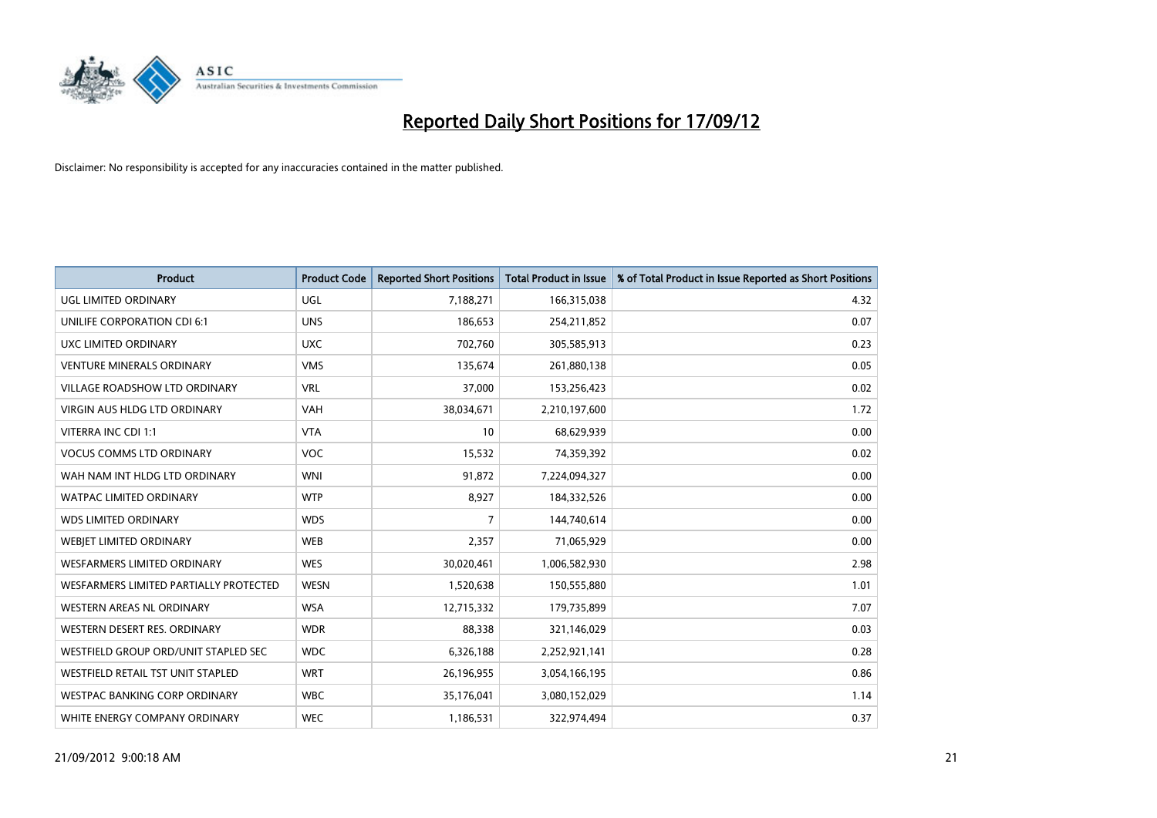

| <b>Product</b>                         | <b>Product Code</b> | <b>Reported Short Positions</b> | <b>Total Product in Issue</b> | % of Total Product in Issue Reported as Short Positions |
|----------------------------------------|---------------------|---------------------------------|-------------------------------|---------------------------------------------------------|
| UGL LIMITED ORDINARY                   | <b>UGL</b>          | 7,188,271                       | 166,315,038                   | 4.32                                                    |
| UNILIFE CORPORATION CDI 6:1            | <b>UNS</b>          | 186,653                         | 254,211,852                   | 0.07                                                    |
| UXC LIMITED ORDINARY                   | <b>UXC</b>          | 702,760                         | 305,585,913                   | 0.23                                                    |
| <b>VENTURE MINERALS ORDINARY</b>       | <b>VMS</b>          | 135,674                         | 261,880,138                   | 0.05                                                    |
| <b>VILLAGE ROADSHOW LTD ORDINARY</b>   | <b>VRL</b>          | 37,000                          | 153,256,423                   | 0.02                                                    |
| <b>VIRGIN AUS HLDG LTD ORDINARY</b>    | <b>VAH</b>          | 38,034,671                      | 2,210,197,600                 | 1.72                                                    |
| VITERRA INC CDI 1:1                    | <b>VTA</b>          | 10                              | 68,629,939                    | 0.00                                                    |
| <b>VOCUS COMMS LTD ORDINARY</b>        | <b>VOC</b>          | 15,532                          | 74,359,392                    | 0.02                                                    |
| WAH NAM INT HLDG LTD ORDINARY          | <b>WNI</b>          | 91,872                          | 7,224,094,327                 | 0.00                                                    |
| <b>WATPAC LIMITED ORDINARY</b>         | <b>WTP</b>          | 8,927                           | 184,332,526                   | 0.00                                                    |
| <b>WDS LIMITED ORDINARY</b>            | <b>WDS</b>          | 7                               | 144,740,614                   | 0.00                                                    |
| WEBJET LIMITED ORDINARY                | <b>WEB</b>          | 2,357                           | 71,065,929                    | 0.00                                                    |
| <b>WESFARMERS LIMITED ORDINARY</b>     | <b>WES</b>          | 30,020,461                      | 1,006,582,930                 | 2.98                                                    |
| WESFARMERS LIMITED PARTIALLY PROTECTED | <b>WESN</b>         | 1,520,638                       | 150,555,880                   | 1.01                                                    |
| WESTERN AREAS NL ORDINARY              | <b>WSA</b>          | 12,715,332                      | 179,735,899                   | 7.07                                                    |
| WESTERN DESERT RES. ORDINARY           | <b>WDR</b>          | 88,338                          | 321,146,029                   | 0.03                                                    |
| WESTFIELD GROUP ORD/UNIT STAPLED SEC   | <b>WDC</b>          | 6,326,188                       | 2,252,921,141                 | 0.28                                                    |
| WESTFIELD RETAIL TST UNIT STAPLED      | <b>WRT</b>          | 26,196,955                      | 3,054,166,195                 | 0.86                                                    |
| <b>WESTPAC BANKING CORP ORDINARY</b>   | <b>WBC</b>          | 35,176,041                      | 3,080,152,029                 | 1.14                                                    |
| WHITE ENERGY COMPANY ORDINARY          | <b>WEC</b>          | 1,186,531                       | 322,974,494                   | 0.37                                                    |